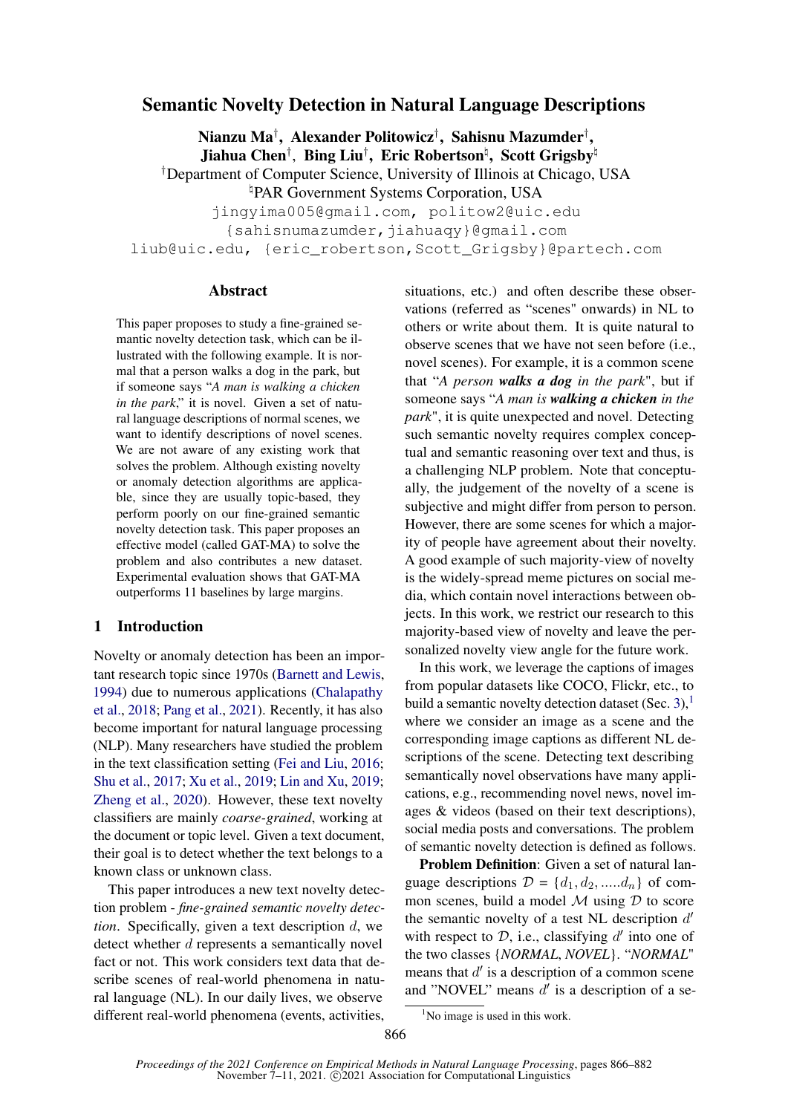# Semantic Novelty Detection in Natural Language Descriptions

Nianzu Ma† , Alexander Politowicz† , Sahisnu Mazumder† , Jiahua Chen†,Bing Liu<sup>†</sup>,Eric Robertson<sup>ḥ</sup>,Scott Grigsby<sup>ḥ</sup> †Department of Computer Science, University of Illinois at Chicago, USA \PAR Government Systems Corporation, USA

jingyima005@gmail.com, politow2@uic.edu

{sahisnumazumder,jiahuaqy}@gmail.com

liub@uic.edu, {eric\_robertson,Scott\_Grigsby}@partech.com

#### Abstract

This paper proposes to study a fine-grained semantic novelty detection task, which can be illustrated with the following example. It is normal that a person walks a dog in the park, but if someone says "*A man is walking a chicken in the park*," it is novel. Given a set of natural language descriptions of normal scenes, we want to identify descriptions of novel scenes. We are not aware of any existing work that solves the problem. Although existing novelty or anomaly detection algorithms are applicable, since they are usually topic-based, they perform poorly on our fine-grained semantic novelty detection task. This paper proposes an effective model (called GAT-MA) to solve the problem and also contributes a new dataset. Experimental evaluation shows that GAT-MA outperforms 11 baselines by large margins.

## 1 Introduction

Novelty or anomaly detection has been an important research topic since 1970s [\(Barnett and Lewis,](#page-9-0) [1994\)](#page-9-0) due to numerous applications [\(Chalapathy](#page-9-1) [et al.,](#page-9-1) [2018;](#page-9-1) [Pang et al.,](#page-11-0) [2021\)](#page-11-0). Recently, it has also become important for natural language processing (NLP). Many researchers have studied the problem in the text classification setting [\(Fei and Liu,](#page-10-0) [2016;](#page-10-0) [Shu et al.,](#page-12-0) [2017;](#page-12-0) [Xu et al.,](#page-13-0) [2019;](#page-13-0) [Lin and Xu,](#page-11-1) [2019;](#page-11-1) [Zheng et al.,](#page-13-1) [2020\)](#page-13-1). However, these text novelty classifiers are mainly *coarse-grained*, working at the document or topic level. Given a text document, their goal is to detect whether the text belongs to a known class or unknown class.

This paper introduces a new text novelty detection problem - *fine-grained semantic novelty detection*. Specifically, given a text description d, we detect whether d represents a semantically novel fact or not. This work considers text data that describe scenes of real-world phenomena in natural language (NL). In our daily lives, we observe different real-world phenomena (events, activities, situations, etc.) and often describe these observations (referred as "scenes" onwards) in NL to others or write about them. It is quite natural to observe scenes that we have not seen before (i.e., novel scenes). For example, it is a common scene that "*A person walks a dog in the park*", but if someone says "*A man is walking a chicken in the park*", it is quite unexpected and novel. Detecting such semantic novelty requires complex conceptual and semantic reasoning over text and thus, is a challenging NLP problem. Note that conceptually, the judgement of the novelty of a scene is subjective and might differ from person to person. However, there are some scenes for which a majority of people have agreement about their novelty. A good example of such majority-view of novelty is the widely-spread meme pictures on social media, which contain novel interactions between objects. In this work, we restrict our research to this majority-based view of novelty and leave the personalized novelty view angle for the future work.

In this work, we leverage the captions of images from popular datasets like COCO, Flickr, etc., to build a semantic novelty detection dataset (Sec. [3\)](#page-2-0), $<sup>1</sup>$  $<sup>1</sup>$  $<sup>1</sup>$ </sup> where we consider an image as a scene and the corresponding image captions as different NL descriptions of the scene. Detecting text describing semantically novel observations have many applications, e.g., recommending novel news, novel images & videos (based on their text descriptions), social media posts and conversations. The problem of semantic novelty detection is defined as follows.

Problem Definition: Given a set of natural language descriptions  $\mathcal{D} = \{d_1, d_2, \dots, d_n\}$  of common scenes, build a model  $M$  using  $D$  to score the semantic novelty of a test NL description  $d'$ with respect to  $D$ , i.e., classifying  $d'$  into one of the two classes {*NORMAL*, *NOVEL*}. "*NORMAL*" means that  $d'$  is a description of a common scene and "NOVEL" means  $d'$  is a description of a se-

<span id="page-0-0"></span><sup>&</sup>lt;sup>1</sup>No image is used in this work.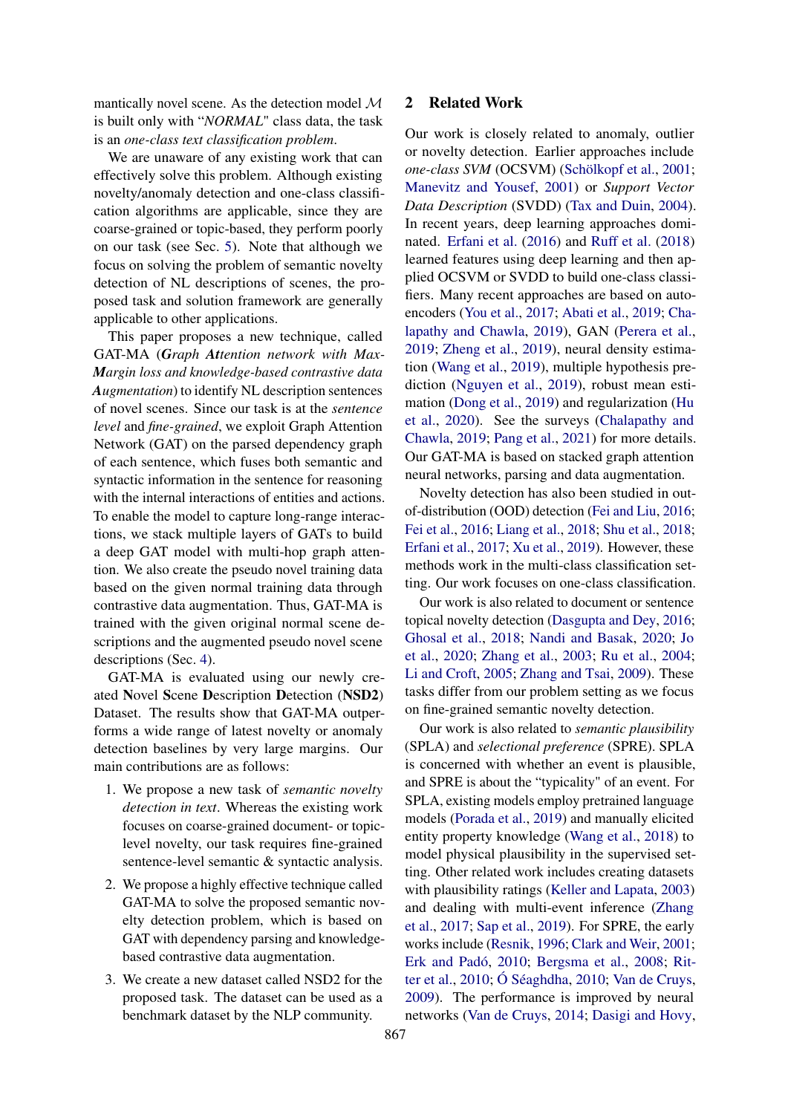mantically novel scene. As the detection model  $\mathcal M$ is built only with "*NORMAL*" class data, the task is an *one-class text classification problem*.

We are unaware of any existing work that can effectively solve this problem. Although existing novelty/anomaly detection and one-class classification algorithms are applicable, since they are coarse-grained or topic-based, they perform poorly on our task (see Sec. [5\)](#page-6-0). Note that although we focus on solving the problem of semantic novelty detection of NL descriptions of scenes, the proposed task and solution framework are generally applicable to other applications.

This paper proposes a new technique, called GAT-MA (*Graph Attention network with Max-Margin loss and knowledge-based contrastive data Augmentation*) to identify NL description sentences of novel scenes. Since our task is at the *sentence level* and *fine-grained*, we exploit Graph Attention Network (GAT) on the parsed dependency graph of each sentence, which fuses both semantic and syntactic information in the sentence for reasoning with the internal interactions of entities and actions. To enable the model to capture long-range interactions, we stack multiple layers of GATs to build a deep GAT model with multi-hop graph attention. We also create the pseudo novel training data based on the given normal training data through contrastive data augmentation. Thus, GAT-MA is trained with the given original normal scene descriptions and the augmented pseudo novel scene descriptions (Sec. [4\)](#page-3-0).

GAT-MA is evaluated using our newly created Novel Scene Description Detection (NSD2) Dataset. The results show that GAT-MA outperforms a wide range of latest novelty or anomaly detection baselines by very large margins. Our main contributions are as follows:

- 1. We propose a new task of *semantic novelty detection in text*. Whereas the existing work focuses on coarse-grained document- or topiclevel novelty, our task requires fine-grained sentence-level semantic & syntactic analysis.
- 2. We propose a highly effective technique called GAT-MA to solve the proposed semantic novelty detection problem, which is based on GAT with dependency parsing and knowledgebased contrastive data augmentation.
- 3. We create a new dataset called NSD2 for the proposed task. The dataset can be used as a benchmark dataset by the NLP community.

## <span id="page-1-0"></span>2 Related Work

Our work is closely related to anomaly, outlier or novelty detection. Earlier approaches include *one-class SVM* (OCSVM) [\(Schölkopf et al.,](#page-12-1) [2001;](#page-12-1) [Manevitz and Yousef,](#page-11-2) [2001\)](#page-11-2) or *Support Vector Data Description* (SVDD) [\(Tax and Duin,](#page-12-2) [2004\)](#page-12-2). In recent years, deep learning approaches dominated. [Erfani et al.](#page-10-1) [\(2016\)](#page-10-1) and [Ruff et al.](#page-12-3) [\(2018\)](#page-12-3) learned features using deep learning and then applied OCSVM or SVDD to build one-class classifiers. Many recent approaches are based on autoencoders [\(You et al.,](#page-13-2) [2017;](#page-13-2) [Abati et al.,](#page-9-2) [2019;](#page-9-2) [Cha](#page-9-3)[lapathy and Chawla,](#page-9-3) [2019\)](#page-9-3), GAN [\(Perera et al.,](#page-11-3) [2019;](#page-11-3) [Zheng et al.,](#page-13-3) [2019\)](#page-13-3), neural density estimation [\(Wang et al.,](#page-13-4) [2019\)](#page-13-4), multiple hypothesis prediction [\(Nguyen et al.,](#page-11-4) [2019\)](#page-11-4), robust mean estimation [\(Dong et al.,](#page-9-4) [2019\)](#page-9-4) and regularization [\(Hu](#page-10-2) [et al.,](#page-10-2) [2020\)](#page-10-2). See the surveys [\(Chalapathy and](#page-9-3) [Chawla,](#page-9-3) [2019;](#page-9-3) [Pang et al.,](#page-11-0) [2021\)](#page-11-0) for more details. Our GAT-MA is based on stacked graph attention neural networks, parsing and data augmentation.

Novelty detection has also been studied in outof-distribution (OOD) detection [\(Fei and Liu,](#page-10-0) [2016;](#page-10-0) [Fei et al.,](#page-10-3) [2016;](#page-10-3) [Liang et al.,](#page-11-5) [2018;](#page-11-5) [Shu et al.,](#page-12-4) [2018;](#page-12-4) [Erfani et al.,](#page-10-4) [2017;](#page-10-4) [Xu et al.,](#page-13-0) [2019\)](#page-13-0). However, these methods work in the multi-class classification setting. Our work focuses on one-class classification.

Our work is also related to document or sentence topical novelty detection [\(Dasgupta and Dey,](#page-9-5) [2016;](#page-9-5) [Ghosal et al.,](#page-10-5) [2018;](#page-10-5) [Nandi and Basak,](#page-11-6) [2020;](#page-11-6) [Jo](#page-10-6) [et al.,](#page-10-6) [2020;](#page-10-6) [Zhang et al.,](#page-13-5) [2003;](#page-13-5) [Ru et al.,](#page-12-5) [2004;](#page-12-5) [Li and Croft,](#page-11-7) [2005;](#page-11-7) [Zhang and Tsai,](#page-13-6) [2009\)](#page-13-6). These tasks differ from our problem setting as we focus on fine-grained semantic novelty detection.

Our work is also related to *semantic plausibility* (SPLA) and *selectional preference* (SPRE). SPLA is concerned with whether an event is plausible, and SPRE is about the "typicality" of an event. For SPLA, existing models employ pretrained language models [\(Porada et al.,](#page-12-6) [2019\)](#page-12-6) and manually elicited entity property knowledge [\(Wang et al.,](#page-13-7) [2018\)](#page-13-7) to model physical plausibility in the supervised setting. Other related work includes creating datasets with plausibility ratings [\(Keller and Lapata,](#page-10-7) [2003\)](#page-10-7) and dealing with multi-event inference [\(Zhang](#page-13-8) [et al.,](#page-13-8) [2017;](#page-13-8) [Sap et al.,](#page-12-7) [2019\)](#page-12-7). For SPRE, the early works include [\(Resnik,](#page-12-8) [1996;](#page-12-8) [Clark and Weir,](#page-9-6) [2001;](#page-9-6) [Erk and Padó,](#page-10-8) [2010;](#page-10-8) [Bergsma et al.,](#page-9-7) [2008;](#page-9-7) [Rit](#page-12-9)[ter et al.,](#page-12-9) [2010;](#page-12-9) [Ó Séaghdha,](#page-11-8) [2010;](#page-11-8) [Van de Cruys,](#page-13-9) [2009\)](#page-13-9). The performance is improved by neural networks [\(Van de Cruys,](#page-13-10) [2014;](#page-13-10) [Dasigi and Hovy,](#page-9-8)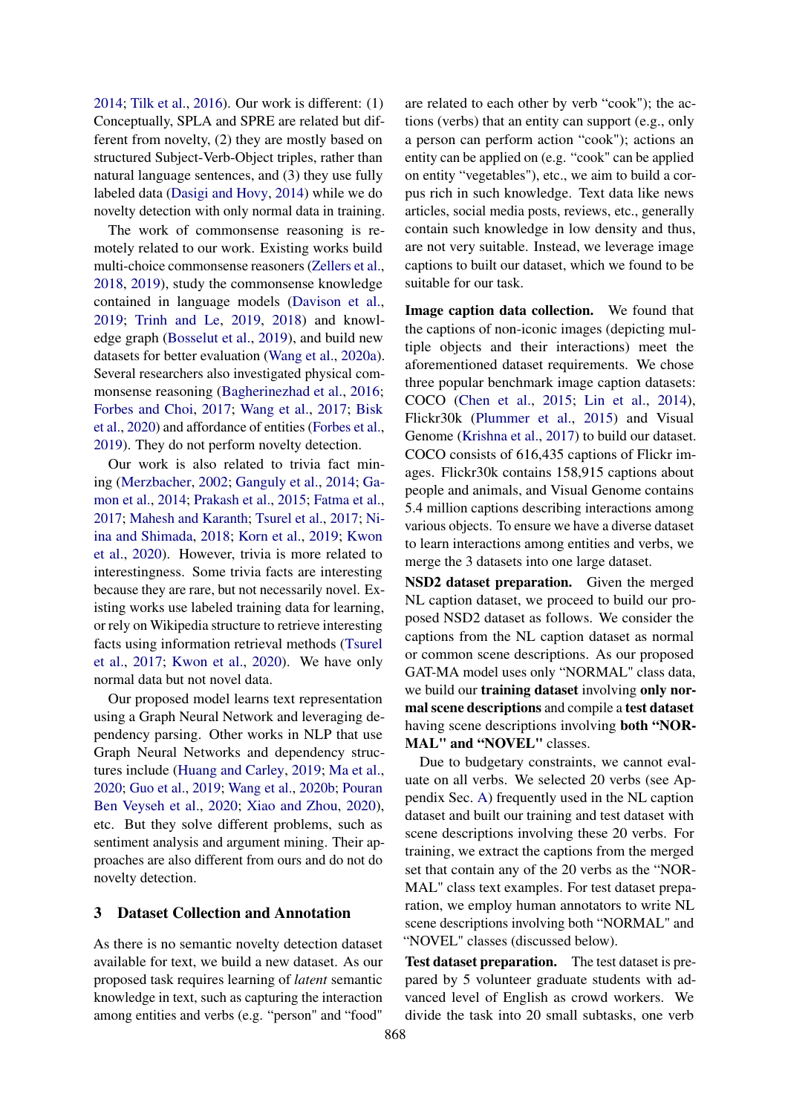[2014;](#page-9-8) [Tilk et al.,](#page-12-10) [2016\)](#page-12-10). Our work is different: (1) Conceptually, SPLA and SPRE are related but different from novelty, (2) they are mostly based on structured Subject-Verb-Object triples, rather than natural language sentences, and (3) they use fully labeled data [\(Dasigi and Hovy,](#page-9-8) [2014\)](#page-9-8) while we do novelty detection with only normal data in training.

The work of commonsense reasoning is remotely related to our work. Existing works build multi-choice commonsense reasoners [\(Zellers et al.,](#page-13-11) [2018,](#page-13-11) [2019\)](#page-13-12), study the commonsense knowledge contained in language models [\(Davison et al.,](#page-9-9) [2019;](#page-9-9) [Trinh and Le,](#page-12-11) [2019,](#page-12-11) [2018\)](#page-12-12) and knowledge graph [\(Bosselut et al.,](#page-9-10) [2019\)](#page-9-10), and build new datasets for better evaluation [\(Wang et al.,](#page-13-13) [2020a\)](#page-13-13). Several researchers also investigated physical commonsense reasoning [\(Bagherinezhad et al.,](#page-9-11) [2016;](#page-9-11) [Forbes and Choi,](#page-10-9) [2017;](#page-10-9) [Wang et al.,](#page-13-14) [2017;](#page-13-14) [Bisk](#page-9-12) [et al.,](#page-9-12) [2020\)](#page-9-12) and affordance of entities [\(Forbes et al.,](#page-10-10) [2019\)](#page-10-10). They do not perform novelty detection.

Our work is also related to trivia fact mining [\(Merzbacher,](#page-11-9) [2002;](#page-11-9) [Ganguly et al.,](#page-10-11) [2014;](#page-10-11) [Ga](#page-10-12)[mon et al.,](#page-10-12) [2014;](#page-10-12) [Prakash et al.,](#page-12-13) [2015;](#page-12-13) [Fatma et al.,](#page-10-13) [2017;](#page-10-13) [Mahesh and Karanth;](#page-11-10) [Tsurel et al.,](#page-12-14) [2017;](#page-12-14) [Ni](#page-11-11)[ina and Shimada,](#page-11-11) [2018;](#page-11-11) [Korn et al.,](#page-11-12) [2019;](#page-11-12) [Kwon](#page-11-13) [et al.,](#page-11-13) [2020\)](#page-11-13). However, trivia is more related to interestingness. Some trivia facts are interesting because they are rare, but not necessarily novel. Existing works use labeled training data for learning, or rely on Wikipedia structure to retrieve interesting facts using information retrieval methods [\(Tsurel](#page-12-14) [et al.,](#page-12-14) [2017;](#page-12-14) [Kwon et al.,](#page-11-13) [2020\)](#page-11-13). We have only normal data but not novel data.

Our proposed model learns text representation using a Graph Neural Network and leveraging dependency parsing. Other works in NLP that use Graph Neural Networks and dependency structures include [\(Huang and Carley,](#page-10-14) [2019;](#page-10-14) [Ma et al.,](#page-11-14) [2020;](#page-11-14) [Guo et al.,](#page-10-15) [2019;](#page-10-15) [Wang et al.,](#page-13-15) [2020b;](#page-13-15) [Pouran](#page-12-15) [Ben Veyseh et al.,](#page-12-15) [2020;](#page-12-15) [Xiao and Zhou,](#page-13-16) [2020\)](#page-13-16), etc. But they solve different problems, such as sentiment analysis and argument mining. Their approaches are also different from ours and do not do novelty detection.

## <span id="page-2-0"></span>3 Dataset Collection and Annotation

As there is no semantic novelty detection dataset available for text, we build a new dataset. As our proposed task requires learning of *latent* semantic knowledge in text, such as capturing the interaction among entities and verbs (e.g. "person" and "food"

are related to each other by verb "cook"); the actions (verbs) that an entity can support (e.g., only a person can perform action "cook"); actions an entity can be applied on (e.g. "cook" can be applied on entity "vegetables"), etc., we aim to build a corpus rich in such knowledge. Text data like news articles, social media posts, reviews, etc., generally contain such knowledge in low density and thus, are not very suitable. Instead, we leverage image captions to built our dataset, which we found to be suitable for our task.

Image caption data collection. We found that the captions of non-iconic images (depicting multiple objects and their interactions) meet the aforementioned dataset requirements. We chose three popular benchmark image caption datasets: COCO [\(Chen et al.,](#page-9-13) [2015;](#page-9-13) [Lin et al.,](#page-11-15) [2014\)](#page-11-15), Flickr30k [\(Plummer et al.,](#page-12-16) [2015\)](#page-12-16) and Visual Genome [\(Krishna et al.,](#page-11-16) [2017\)](#page-11-16) to build our dataset. COCO consists of 616,435 captions of Flickr images. Flickr30k contains 158,915 captions about people and animals, and Visual Genome contains 5.4 million captions describing interactions among various objects. To ensure we have a diverse dataset to learn interactions among entities and verbs, we merge the 3 datasets into one large dataset.

NSD2 dataset preparation. Given the merged NL caption dataset, we proceed to build our proposed NSD2 dataset as follows. We consider the captions from the NL caption dataset as normal or common scene descriptions. As our proposed GAT-MA model uses only "NORMAL" class data, we build our **training dataset** involving only normal scene descriptions and compile a test dataset having scene descriptions involving both "NOR-MAL" and "NOVEL" classes.

Due to budgetary constraints, we cannot evaluate on all verbs. We selected 20 verbs (see Appendix Sec. [A\)](#page-14-0) frequently used in the NL caption dataset and built our training and test dataset with scene descriptions involving these 20 verbs. For training, we extract the captions from the merged set that contain any of the 20 verbs as the "NOR-MAL" class text examples. For test dataset preparation, we employ human annotators to write NL scene descriptions involving both "NORMAL" and "NOVEL" classes (discussed below).

Test dataset preparation. The test dataset is prepared by 5 volunteer graduate students with advanced level of English as crowd workers. We divide the task into 20 small subtasks, one verb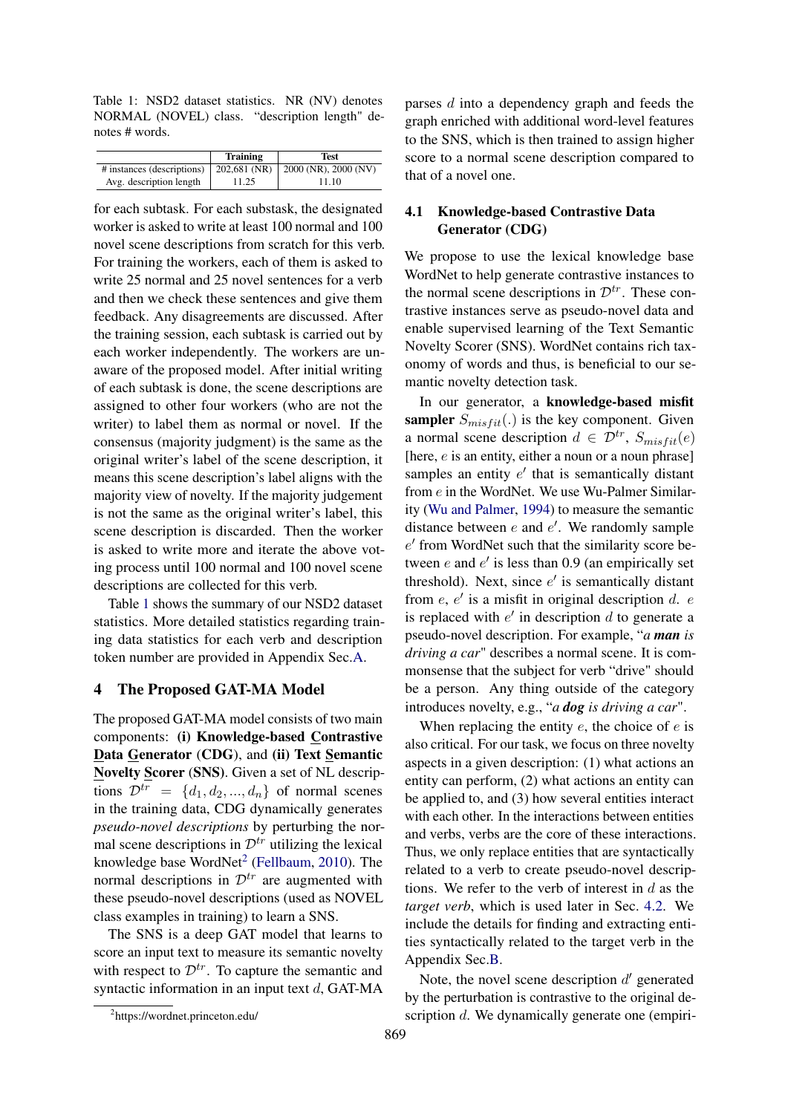<span id="page-3-1"></span>Table 1: NSD2 dataset statistics. NR (NV) denotes NORMAL (NOVEL) class. "description length" denotes # words.

|                            | Training | Test                                  |
|----------------------------|----------|---------------------------------------|
| # instances (descriptions) |          | $202,681$ (NR)   2000 (NR), 2000 (NV) |
| Avg. description length    | 11.25    | 11.10                                 |

for each subtask. For each substask, the designated worker is asked to write at least 100 normal and 100 novel scene descriptions from scratch for this verb. For training the workers, each of them is asked to write 25 normal and 25 novel sentences for a verb and then we check these sentences and give them feedback. Any disagreements are discussed. After the training session, each subtask is carried out by each worker independently. The workers are unaware of the proposed model. After initial writing of each subtask is done, the scene descriptions are assigned to other four workers (who are not the writer) to label them as normal or novel. If the consensus (majority judgment) is the same as the original writer's label of the scene description, it means this scene description's label aligns with the majority view of novelty. If the majority judgement is not the same as the original writer's label, this scene description is discarded. Then the worker is asked to write more and iterate the above voting process until 100 normal and 100 novel scene descriptions are collected for this verb.

Table [1](#page-3-1) shows the summary of our NSD2 dataset statistics. More detailed statistics regarding training data statistics for each verb and description token number are provided in Appendix Sec[.A.](#page-14-0)

## <span id="page-3-0"></span>4 The Proposed GAT-MA Model

The proposed GAT-MA model consists of two main components: (i) Knowledge-based Contrastive Data Generator (CDG), and (ii) Text Semantic Novelty Scorer (SNS). Given a set of NL descriptions  $\mathcal{D}^{tr} = \{d_1, d_2, ..., d_n\}$  of normal scenes in the training data, CDG dynamically generates *pseudo-novel descriptions* by perturbing the normal scene descriptions in  $\mathcal{D}^{tr}$  utilizing the lexical knowledge base WordNet<sup>[2](#page-3-2)</sup> [\(Fellbaum,](#page-10-16) [2010\)](#page-10-16). The normal descriptions in  $\mathcal{D}^{tr}$  are augmented with these pseudo-novel descriptions (used as NOVEL class examples in training) to learn a SNS.

The SNS is a deep GAT model that learns to score an input text to measure its semantic novelty with respect to  $\mathcal{D}^{tr}$ . To capture the semantic and syntactic information in an input text  $d$ , GAT-MA

parses d into a dependency graph and feeds the graph enriched with additional word-level features to the SNS, which is then trained to assign higher score to a normal scene description compared to that of a novel one.

# <span id="page-3-3"></span>4.1 Knowledge-based Contrastive Data Generator (CDG)

We propose to use the lexical knowledge base WordNet to help generate contrastive instances to the normal scene descriptions in  $\mathcal{D}^{tr}$ . These contrastive instances serve as pseudo-novel data and enable supervised learning of the Text Semantic Novelty Scorer (SNS). WordNet contains rich taxonomy of words and thus, is beneficial to our semantic novelty detection task.

In our generator, a knowledge-based misfit sampler  $S_{misfit}$ .) is the key component. Given a normal scene description  $d \in \mathcal{D}^{tr}$ ,  $S_{misfit}(e)$ [here,  $e$  is an entity, either a noun or a noun phrase] samples an entity  $e'$  that is semantically distant from e in the WordNet. We use Wu-Palmer Similarity [\(Wu and Palmer,](#page-13-17) [1994\)](#page-13-17) to measure the semantic distance between  $e$  and  $e'$ . We randomly sample  $e'$  from WordNet such that the similarity score between  $e$  and  $e'$  is less than 0.9 (an empirically set threshold). Next, since  $e'$  is semantically distant from  $e, e'$  is a misfit in original description  $d. e$ is replaced with  $e'$  in description  $d$  to generate a pseudo-novel description. For example, "*a man is driving a car*" describes a normal scene. It is commonsense that the subject for verb "drive" should be a person. Any thing outside of the category introduces novelty, e.g., "*a dog is driving a car*".

When replacing the entity  $e$ , the choice of  $e$  is also critical. For our task, we focus on three novelty aspects in a given description: (1) what actions an entity can perform, (2) what actions an entity can be applied to, and (3) how several entities interact with each other. In the interactions between entities and verbs, verbs are the core of these interactions. Thus, we only replace entities that are syntactically related to a verb to create pseudo-novel descriptions. We refer to the verb of interest in  $d$  as the *target verb*, which is used later in Sec. [4.2.](#page-4-0) We include the details for finding and extracting entities syntactically related to the target verb in the Appendix Sec[.B.](#page-14-1)

Note, the novel scene description  $d'$  generated by the perturbation is contrastive to the original description d. We dynamically generate one (empiri-

<span id="page-3-2"></span><sup>2</sup> https://wordnet.princeton.edu/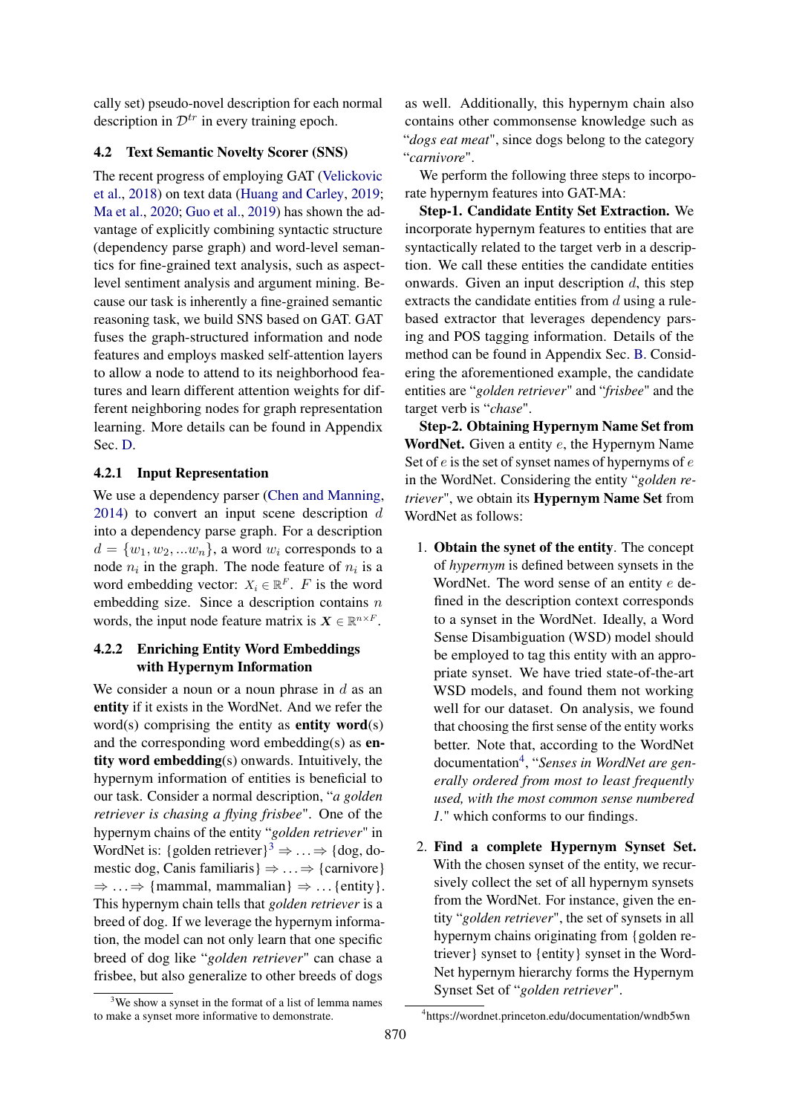cally set) pseudo-novel description for each normal description in  $\mathcal{D}^{tr}$  in every training epoch.

# <span id="page-4-0"></span>4.2 Text Semantic Novelty Scorer (SNS)

The recent progress of employing GAT [\(Velickovic](#page-13-18) [et al.,](#page-13-18) [2018\)](#page-13-18) on text data [\(Huang and Carley,](#page-10-14) [2019;](#page-10-14) [Ma et al.,](#page-11-14) [2020;](#page-11-14) [Guo et al.,](#page-10-15) [2019\)](#page-10-15) has shown the advantage of explicitly combining syntactic structure (dependency parse graph) and word-level semantics for fine-grained text analysis, such as aspectlevel sentiment analysis and argument mining. Because our task is inherently a fine-grained semantic reasoning task, we build SNS based on GAT. GAT fuses the graph-structured information and node features and employs masked self-attention layers to allow a node to attend to its neighborhood features and learn different attention weights for different neighboring nodes for graph representation learning. More details can be found in Appendix Sec. [D.](#page-14-2)

# 4.2.1 Input Representation

We use a dependency parser [\(Chen and Manning,](#page-9-14) [2014\)](#page-9-14) to convert an input scene description d into a dependency parse graph. For a description  $d = \{w_1, w_2, ... w_n\}$ , a word  $w_i$  corresponds to a node  $n_i$  in the graph. The node feature of  $n_i$  is a word embedding vector:  $X_i \in \mathbb{R}^F$ . F is the word embedding size. Since a description contains  $n$ words, the input node feature matrix is  $X \in \mathbb{R}^{n \times F}$ .

# 4.2.2 Enriching Entity Word Embeddings with Hypernym Information

We consider a noun or a noun phrase in  $d$  as an entity if it exists in the WordNet. And we refer the word $(s)$  comprising the entity as **entity word** $(s)$ and the corresponding word embedding(s) as entity word embedding(s) onwards. Intuitively, the hypernym information of entities is beneficial to our task. Consider a normal description, "*a golden retriever is chasing a flying frisbee*". One of the hypernym chains of the entity "*golden retriever*" in WordNet is: {golden retriever}<sup>[3](#page-4-1)</sup>  $\Rightarrow$  ...  $\Rightarrow$  {dog, domestic dog, Canis familiaris }  $\Rightarrow ... \Rightarrow$  {carnivore}  $\Rightarrow \ldots \Rightarrow$  {mammal, mammalian}  $\Rightarrow \ldots$  {entity}. This hypernym chain tells that *golden retriever* is a breed of dog. If we leverage the hypernym information, the model can not only learn that one specific breed of dog like "*golden retriever*" can chase a frisbee, but also generalize to other breeds of dogs

as well. Additionally, this hypernym chain also contains other commonsense knowledge such as "*dogs eat meat*", since dogs belong to the category "*carnivore*".

We perform the following three steps to incorporate hypernym features into GAT-MA:

Step-1. Candidate Entity Set Extraction. We incorporate hypernym features to entities that are syntactically related to the target verb in a description. We call these entities the candidate entities onwards. Given an input description  $d$ , this step extracts the candidate entities from  $d$  using a rulebased extractor that leverages dependency parsing and POS tagging information. Details of the method can be found in Appendix Sec. [B.](#page-14-1) Considering the aforementioned example, the candidate entities are "*golden retriever*" and "*frisbee*" and the target verb is "*chase*".

Step-2. Obtaining Hypernym Name Set from WordNet. Given a entity e, the Hypernym Name Set of  $e$  is the set of synset names of hypernyms of  $e$ in the WordNet. Considering the entity "*golden retriever*", we obtain its Hypernym Name Set from WordNet as follows:

- 1. Obtain the synet of the entity. The concept of *hypernym* is defined between synsets in the WordNet. The word sense of an entity  $e$  defined in the description context corresponds to a synset in the WordNet. Ideally, a Word Sense Disambiguation (WSD) model should be employed to tag this entity with an appropriate synset. We have tried state-of-the-art WSD models, and found them not working well for our dataset. On analysis, we found that choosing the first sense of the entity works better. Note that, according to the WordNet documentation[4](#page-4-2) , "*Senses in WordNet are generally ordered from most to least frequently used, with the most common sense numbered 1.*" which conforms to our findings.
- 2. Find a complete Hypernym Synset Set. With the chosen synset of the entity, we recursively collect the set of all hypernym synsets from the WordNet. For instance, given the entity "*golden retriever*", the set of synsets in all hypernym chains originating from {golden retriever} synset to {entity} synset in the Word-Net hypernym hierarchy forms the Hypernym Synset Set of "*golden retriever*".

<span id="page-4-1"></span> $3$ We show a synset in the format of a list of lemma names to make a synset more informative to demonstrate.

<span id="page-4-2"></span><sup>4</sup> https://wordnet.princeton.edu/documentation/wndb5wn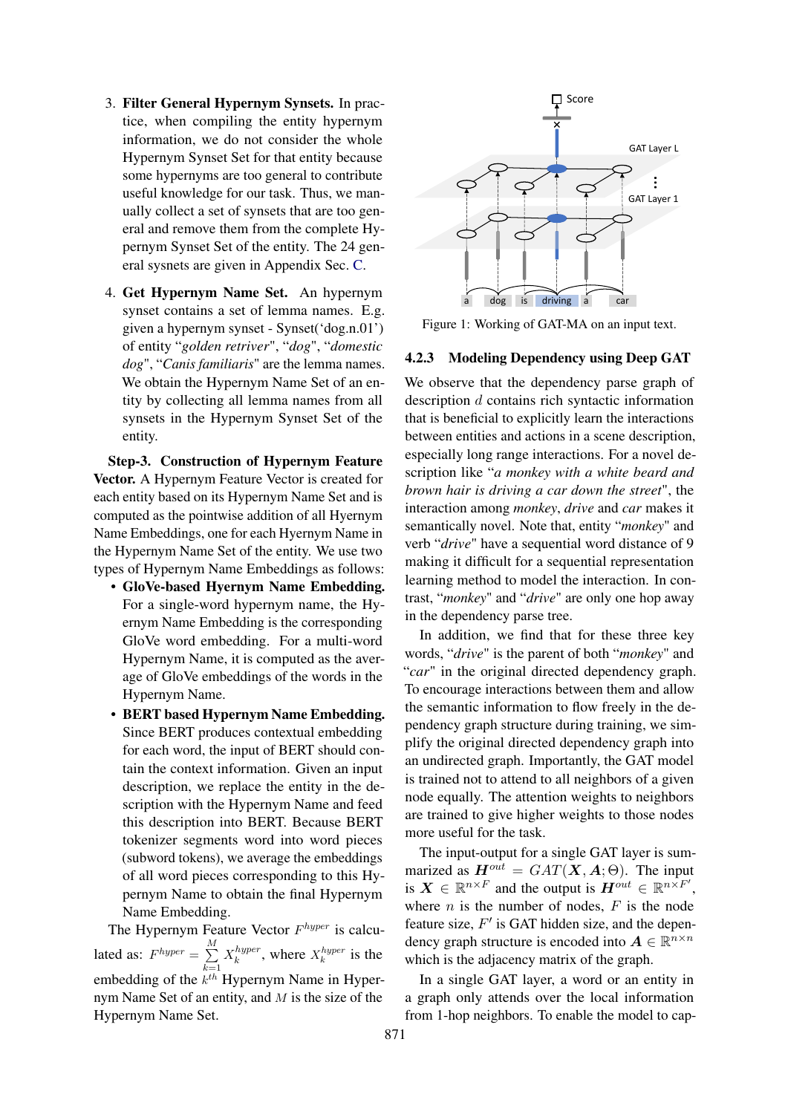- 3. Filter General Hypernym Synsets. In practice, when compiling the entity hypernym information, we do not consider the whole Hypernym Synset Set for that entity because some hypernyms are too general to contribute useful knowledge for our task. Thus, we manually collect a set of synsets that are too general and remove them from the complete Hypernym Synset Set of the entity. The 24 general sysnets are given in Appendix Sec. [C.](#page-14-3)
- 4. Get Hypernym Name Set. An hypernym synset contains a set of lemma names. E.g. given a hypernym synset - Synset('dog.n.01') of entity "*golden retriver*", "*dog*", "*domestic dog*", "*Canis familiaris*" are the lemma names. We obtain the Hypernym Name Set of an entity by collecting all lemma names from all synsets in the Hypernym Synset Set of the entity.

Step-3. Construction of Hypernym Feature Vector. A Hypernym Feature Vector is created for each entity based on its Hypernym Name Set and is computed as the pointwise addition of all Hyernym Name Embeddings, one for each Hyernym Name in the Hypernym Name Set of the entity. We use two types of Hypernym Name Embeddings as follows:

- GloVe-based Hyernym Name Embedding. For a single-word hypernym name, the Hyernym Name Embedding is the corresponding GloVe word embedding. For a multi-word Hypernym Name, it is computed as the average of GloVe embeddings of the words in the Hypernym Name.
- BERT based Hypernym Name Embedding. Since BERT produces contextual embedding for each word, the input of BERT should contain the context information. Given an input description, we replace the entity in the description with the Hypernym Name and feed this description into BERT. Because BERT tokenizer segments word into word pieces (subword tokens), we average the embeddings of all word pieces corresponding to this Hypernym Name to obtain the final Hypernym Name Embedding.

The Hypernym Feature Vector  $F^{hyper}$  is calculated as:  $F^{hyper} = \sum_{n=1}^{M}$  $k=1$  $X_k^{hyper}$ , where  $X_k^{hyper}$  is the embedding of the  $k^{th}$  Hypernym Name in Hypernym Name Set of an entity, and M is the size of the Hypernym Name Set.

<span id="page-5-0"></span>

Figure 1: Working of GAT-MA on an input text.

# <span id="page-5-1"></span>4.2.3 Modeling Dependency using Deep GAT

We observe that the dependency parse graph of description d contains rich syntactic information that is beneficial to explicitly learn the interactions between entities and actions in a scene description, especially long range interactions. For a novel description like "*a monkey with a white beard and brown hair is driving a car down the street*", the interaction among *monkey*, *drive* and *car* makes it semantically novel. Note that, entity "*monkey*" and verb "*drive*" have a sequential word distance of 9 making it difficult for a sequential representation learning method to model the interaction. In contrast, "*monkey*" and "*drive*" are only one hop away in the dependency parse tree.

In addition, we find that for these three key words, "*drive*" is the parent of both "*monkey*" and "*car*" in the original directed dependency graph. To encourage interactions between them and allow the semantic information to flow freely in the dependency graph structure during training, we simplify the original directed dependency graph into an undirected graph. Importantly, the GAT model is trained not to attend to all neighbors of a given node equally. The attention weights to neighbors are trained to give higher weights to those nodes more useful for the task.

The input-output for a single GAT layer is summarized as  $H^{out} = GAT(X, A; \Theta)$ . The input is  $X \in \mathbb{R}^{n \times F}$  and the output is  $H^{out} \in \mathbb{R}^{n \times F'}$ , where  $n$  is the number of nodes,  $F$  is the node feature size,  $F'$  is GAT hidden size, and the dependency graph structure is encoded into  $A \in \mathbb{R}^{n \times n}$ which is the adjacency matrix of the graph.

In a single GAT layer, a word or an entity in a graph only attends over the local information from 1-hop neighbors. To enable the model to cap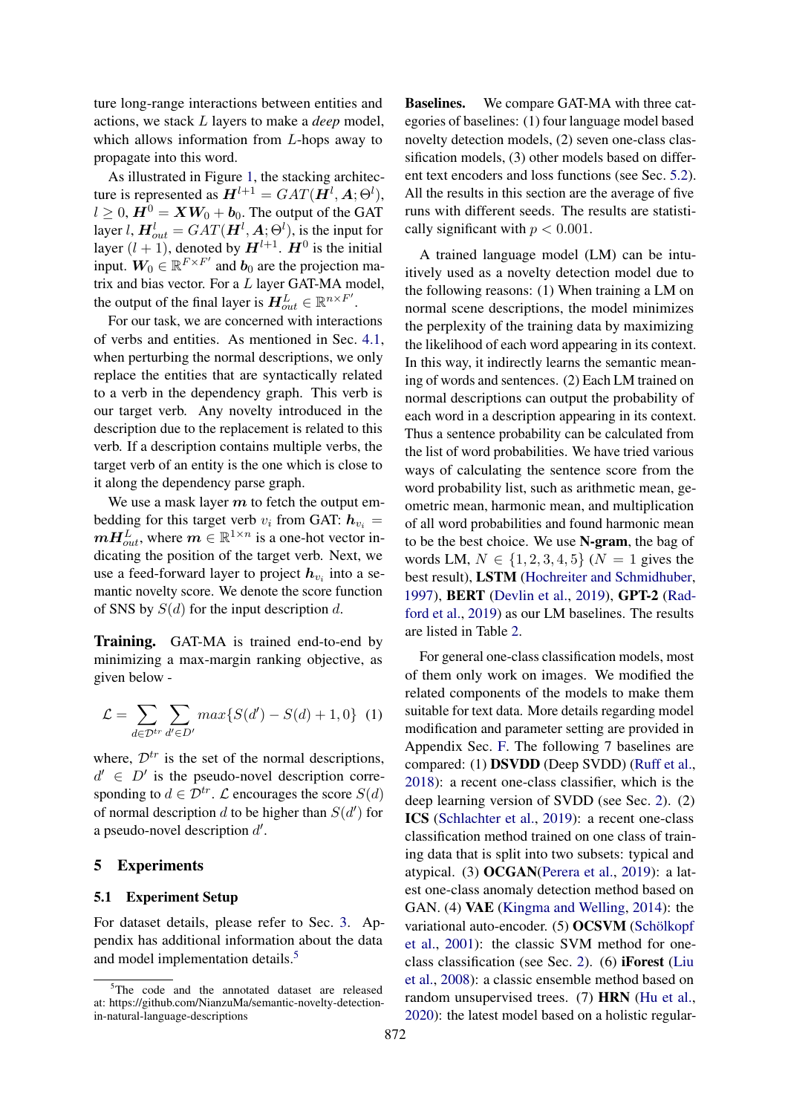ture long-range interactions between entities and actions, we stack L layers to make a *deep* model, which allows information from L-hops away to propagate into this word.

As illustrated in Figure [1,](#page-5-0) the stacking architecture is represented as  $H^{l+1} = GAT(\mathbf{H}^{l}, \mathbf{A}; \Theta^{l}),$  $l \geq 0$ ,  $H^0 = XW_0 + b_0$ . The output of the GAT layer  $l$ ,  $\boldsymbol{H}^{l}_{out} = GAT(\boldsymbol{H}^{l}, \boldsymbol{A}; \Theta^{l})$ , is the input for layer  $(l + 1)$ , denoted by  $H^{l+1}$ .  $H^0$  is the initial input.  $W_0 \in \mathbb{R}^{F \times F'}$  and  $b_0$  are the projection matrix and bias vector. For a  $L$  layer GAT-MA model, the output of the final layer is  $H_{out}^L \in \mathbb{R}^{n \times F'}$ .

For our task, we are concerned with interactions of verbs and entities. As mentioned in Sec. [4.1,](#page-3-3) when perturbing the normal descriptions, we only replace the entities that are syntactically related to a verb in the dependency graph. This verb is our target verb. Any novelty introduced in the description due to the replacement is related to this verb. If a description contains multiple verbs, the target verb of an entity is the one which is close to it along the dependency parse graph.

We use a mask layer  $m$  to fetch the output embedding for this target verb  $v_i$  from GAT:  $h_{v_i} =$  $\boldsymbol{m} \boldsymbol{H}_{out}^L$ , where  $\boldsymbol{m} \in \mathbb{R}^{1 \times n}$  is a one-hot vector indicating the position of the target verb. Next, we use a feed-forward layer to project  $h_{v_i}$  into a semantic novelty score. We denote the score function of SNS by  $S(d)$  for the input description d.

Training. GAT-MA is trained end-to-end by minimizing a max-margin ranking objective, as given below -

$$
\mathcal{L} = \sum_{d \in \mathcal{D}^{tr}} \sum_{d' \in D'} max\{S(d') - S(d) + 1, 0\} \tag{1}
$$

where,  $\mathcal{D}^{tr}$  is the set of the normal descriptions,  $d' \in D'$  is the pseudo-novel description corresponding to  $d \in \mathcal{D}^{tr}$ .  $\mathcal L$  encourages the score  $S(d)$ of normal description  $d$  to be higher than  $S(d')$  for a pseudo-novel description  $d'$ .

# <span id="page-6-0"></span>5 Experiments

#### 5.1 Experiment Setup

For dataset details, please refer to Sec. [3.](#page-2-0) Appendix has additional information about the data and model implementation details.<sup>[5](#page-6-1)</sup>

Baselines. We compare GAT-MA with three categories of baselines: (1) four language model based novelty detection models, (2) seven one-class classification models, (3) other models based on different text encoders and loss functions (see Sec. [5.2\)](#page-7-0). All the results in this section are the average of five runs with different seeds. The results are statistically significant with  $p < 0.001$ .

A trained language model (LM) can be intuitively used as a novelty detection model due to the following reasons: (1) When training a LM on normal scene descriptions, the model minimizes the perplexity of the training data by maximizing the likelihood of each word appearing in its context. In this way, it indirectly learns the semantic meaning of words and sentences. (2) Each LM trained on normal descriptions can output the probability of each word in a description appearing in its context. Thus a sentence probability can be calculated from the list of word probabilities. We have tried various ways of calculating the sentence score from the word probability list, such as arithmetic mean, geometric mean, harmonic mean, and multiplication of all word probabilities and found harmonic mean to be the best choice. We use N-gram, the bag of words LM,  $N \in \{1, 2, 3, 4, 5\}$  ( $N = 1$  gives the best result), LSTM [\(Hochreiter and Schmidhuber,](#page-10-17) [1997\)](#page-10-17), BERT [\(Devlin et al.,](#page-9-15) [2019\)](#page-9-15), GPT-2 [\(Rad](#page-12-17)[ford et al.,](#page-12-17) [2019\)](#page-12-17) as our LM baselines. The results are listed in Table [2.](#page-7-1)

For general one-class classification models, most of them only work on images. We modified the related components of the models to make them suitable for text data. More details regarding model modification and parameter setting are provided in Appendix Sec. [F.](#page-15-0) The following 7 baselines are compared: (1) DSVDD (Deep SVDD) [\(Ruff et al.,](#page-12-3) [2018\)](#page-12-3): a recent one-class classifier, which is the deep learning version of SVDD (see Sec. [2\)](#page-1-0). (2) ICS [\(Schlachter et al.,](#page-12-18) [2019\)](#page-12-18): a recent one-class classification method trained on one class of training data that is split into two subsets: typical and atypical. (3) OCGAN[\(Perera et al.,](#page-11-3) [2019\)](#page-11-3): a latest one-class anomaly detection method based on GAN. (4) VAE [\(Kingma and Welling,](#page-11-17) [2014\)](#page-11-17): the variational auto-encoder. (5) OCSVM [\(Schölkopf](#page-12-1) [et al.,](#page-12-1) [2001\)](#page-12-1): the classic SVM method for oneclass classification (see Sec. [2\)](#page-1-0). (6) iForest [\(Liu](#page-11-18) [et al.,](#page-11-18) [2008\)](#page-11-18): a classic ensemble method based on random unsupervised trees. (7) HRN [\(Hu et al.,](#page-10-2) [2020\)](#page-10-2): the latest model based on a holistic regular-

<span id="page-6-1"></span><sup>&</sup>lt;sup>5</sup>The code and the annotated dataset are released at: https://github.com/NianzuMa/semantic-novelty-detectionin-natural-language-descriptions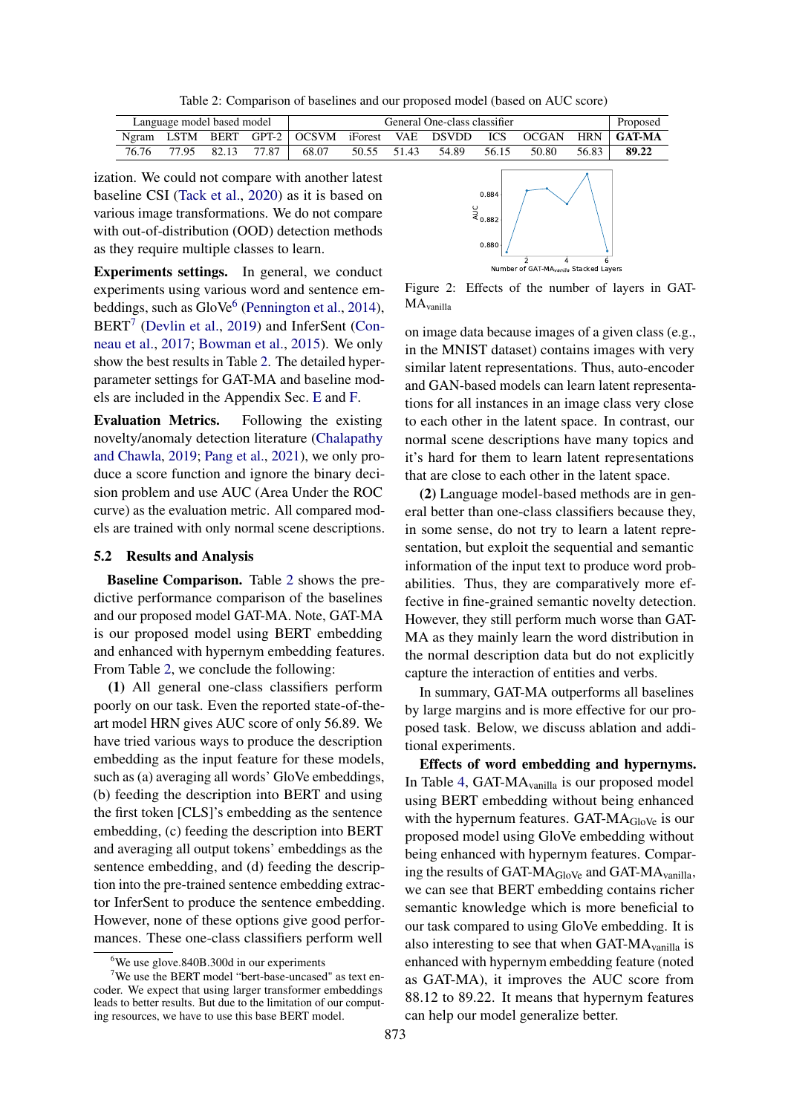Table 2: Comparison of baselines and our proposed model (based on AUC score)

<span id="page-7-1"></span>

| Language model based model |       |       | General One-class classifier |                                                           |             |  | Proposed |       |       |       |            |
|----------------------------|-------|-------|------------------------------|-----------------------------------------------------------|-------------|--|----------|-------|-------|-------|------------|
|                            |       |       |                              | Ngram LSTM BERT GPT-2   OCSVM iForest VAE DSVDD ICS OCGAN |             |  |          |       |       |       | HRN GAT-MA |
| 76.76                      | 77.95 | 82.13 | 77.87                        | 68.07                                                     | 50.55 51.43 |  | 54.89    | 56.15 | 50.80 | 56.83 | 89.22      |

ization. We could not compare with another latest baseline CSI [\(Tack et al.,](#page-12-19) [2020\)](#page-12-19) as it is based on various image transformations. We do not compare with out-of-distribution (OOD) detection methods as they require multiple classes to learn.

Experiments settings. In general, we conduct experiments using various word and sentence em-beddings, such as GloVe<sup>[6](#page-7-2)</sup> [\(Pennington et al.,](#page-11-19) [2014\)](#page-11-19), BERT<sup>[7](#page-7-3)</sup> [\(Devlin et al.,](#page-9-15) [2019\)](#page-9-15) and InferSent [\(Con](#page-9-16)[neau et al.,](#page-9-16) [2017;](#page-9-16) [Bowman et al.,](#page-9-17) [2015\)](#page-9-17). We only show the best results in Table [2.](#page-7-1) The detailed hyperparameter settings for GAT-MA and baseline models are included in the Appendix Sec. [E](#page-15-1) and [F.](#page-15-0)

Evaluation Metrics. Following the existing novelty/anomaly detection literature [\(Chalapathy](#page-9-3) [and Chawla,](#page-9-3) [2019;](#page-9-3) [Pang et al.,](#page-11-0) [2021\)](#page-11-0), we only produce a score function and ignore the binary decision problem and use AUC (Area Under the ROC curve) as the evaluation metric. All compared models are trained with only normal scene descriptions.

#### <span id="page-7-0"></span>5.2 Results and Analysis

Baseline Comparison. Table [2](#page-7-1) shows the predictive performance comparison of the baselines and our proposed model GAT-MA. Note, GAT-MA is our proposed model using BERT embedding and enhanced with hypernym embedding features. From Table [2,](#page-7-1) we conclude the following:

(1) All general one-class classifiers perform poorly on our task. Even the reported state-of-theart model HRN gives AUC score of only 56.89. We have tried various ways to produce the description embedding as the input feature for these models, such as (a) averaging all words' GloVe embeddings, (b) feeding the description into BERT and using the first token [CLS]'s embedding as the sentence embedding, (c) feeding the description into BERT and averaging all output tokens' embeddings as the sentence embedding, and (d) feeding the description into the pre-trained sentence embedding extractor InferSent to produce the sentence embedding. However, none of these options give good performances. These one-class classifiers perform well

<span id="page-7-4"></span>

Figure 2: Effects of the number of layers in GAT-MAvanilla

on image data because images of a given class (e.g., in the MNIST dataset) contains images with very similar latent representations. Thus, auto-encoder and GAN-based models can learn latent representations for all instances in an image class very close to each other in the latent space. In contrast, our normal scene descriptions have many topics and it's hard for them to learn latent representations that are close to each other in the latent space.

(2) Language model-based methods are in general better than one-class classifiers because they, in some sense, do not try to learn a latent representation, but exploit the sequential and semantic information of the input text to produce word probabilities. Thus, they are comparatively more effective in fine-grained semantic novelty detection. However, they still perform much worse than GAT-MA as they mainly learn the word distribution in the normal description data but do not explicitly capture the interaction of entities and verbs.

In summary, GAT-MA outperforms all baselines by large margins and is more effective for our proposed task. Below, we discuss ablation and additional experiments.

Effects of word embedding and hypernyms. In Table [4,](#page-8-0) GAT-MAvanilla is our proposed model using BERT embedding without being enhanced with the hypernum features. GAT- $MA_{GloVe}$  is our proposed model using GloVe embedding without being enhanced with hypernym features. Comparing the results of GAT-MA<sub>GloVe</sub> and GAT-MA<sub>vanilla</sub>, we can see that BERT embedding contains richer semantic knowledge which is more beneficial to our task compared to using GloVe embedding. It is also interesting to see that when  $GAT-MA$ <sub>vanilla</sub> is enhanced with hypernym embedding feature (noted as GAT-MA), it improves the AUC score from 88.12 to 89.22. It means that hypernym features can help our model generalize better.

<span id="page-7-3"></span><span id="page-7-2"></span><sup>&</sup>lt;sup>6</sup>We use glove.840B.300d in our experiments

<sup>7</sup>We use the BERT model "bert-base-uncased" as text encoder. We expect that using larger transformer embeddings leads to better results. But due to the limitation of our computing resources, we have to use this base BERT model.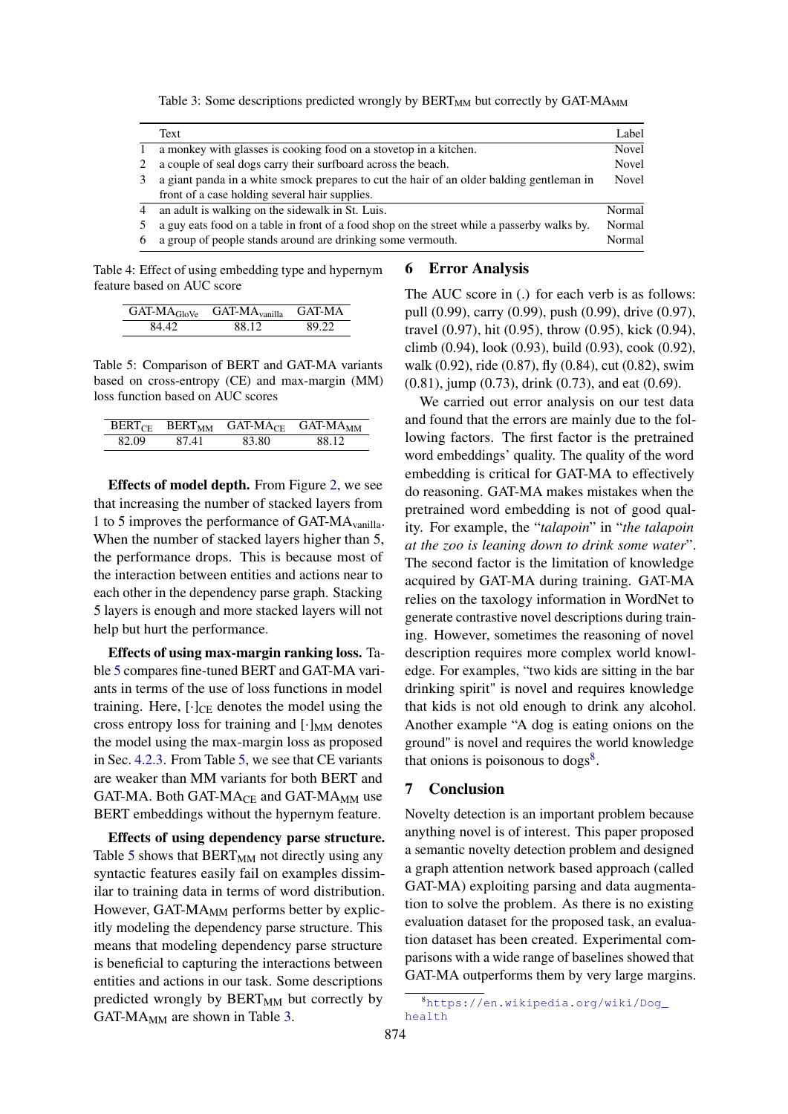Table 3: Some descriptions predicted wrongly by  $BERT_{MM}$  but correctly by  $GAT\text{-}MA_{MM}$ 

<span id="page-8-2"></span>

|                | Text                                                                                        | Label        |
|----------------|---------------------------------------------------------------------------------------------|--------------|
|                | a monkey with glasses is cooking food on a stovetop in a kitchen.                           | <b>Novel</b> |
|                | a couple of seal dogs carry their surfboard across the beach.                               | Novel        |
| 3              | a giant panda in a white smock prepares to cut the hair of an older balding gentleman in    | Novel        |
|                | front of a case holding several hair supplies.                                              |              |
| $\overline{4}$ | an adult is walking on the sidewalk in St. Luis.                                            | Normal       |
|                | a guy eats food on a table in front of a food shop on the street while a passerby walks by. | Normal       |
| 6              | a group of people stands around are drinking some vermouth.                                 | Normal       |

<span id="page-8-0"></span>Table 4: Effect of using embedding type and hypernym feature based on AUC score

|       | $GAT-MA_{GloVe}$ $GAT-MA_{vanilla}$ | GAT-MA |
|-------|-------------------------------------|--------|
| 84.42 | 88 12                               | 80.22  |

<span id="page-8-1"></span>Table 5: Comparison of BERT and GAT-MA variants based on cross-entropy (CE) and max-margin (MM) loss function based on AUC scores

| BERT <sub>CE</sub> | BERT <sub>MM</sub> | GAT-MA <sub>CE</sub> | <b>GAT-MA<sub>MM</sub></b> |
|--------------------|--------------------|----------------------|----------------------------|
| 82.09              | 87.41              | 83.80.               | 88 12                      |

Effects of model depth. From Figure [2,](#page-7-4) we see that increasing the number of stacked layers from 1 to 5 improves the performance of GAT-MAvanilla. When the number of stacked layers higher than 5, the performance drops. This is because most of the interaction between entities and actions near to each other in the dependency parse graph. Stacking 5 layers is enough and more stacked layers will not help but hurt the performance.

Effects of using max-margin ranking loss. Table [5](#page-8-1) compares fine-tuned BERT and GAT-MA variants in terms of the use of loss functions in model training. Here,  $[\cdot]_{CE}$  denotes the model using the cross entropy loss for training and  $[\cdot]_{MM}$  denotes the model using the max-margin loss as proposed in Sec. [4.2.3.](#page-5-1) From Table [5,](#page-8-1) we see that CE variants are weaker than MM variants for both BERT and GAT-MA. Both GAT-MA<sub>CE</sub> and GAT-MA<sub>MM</sub> use BERT embeddings without the hypernym feature.

Effects of using dependency parse structure. Table [5](#page-8-1) shows that  $BERT_{MM}$  not directly using any syntactic features easily fail on examples dissimilar to training data in terms of word distribution. However, GAT- $MA_{MM}$  performs better by explicitly modeling the dependency parse structure. This means that modeling dependency parse structure is beneficial to capturing the interactions between entities and actions in our task. Some descriptions predicted wrongly by  $BERT_{MM}$  but correctly by GAT-M $A_{MM}$  are shown in Table [3.](#page-8-2)

### 6 Error Analysis

The AUC score in (.) for each verb is as follows: pull (0.99), carry (0.99), push (0.99), drive (0.97), travel (0.97), hit (0.95), throw (0.95), kick (0.94), climb (0.94), look (0.93), build (0.93), cook (0.92), walk (0.92), ride (0.87), fly (0.84), cut (0.82), swim (0.81), jump (0.73), drink (0.73), and eat (0.69).

We carried out error analysis on our test data and found that the errors are mainly due to the following factors. The first factor is the pretrained word embeddings' quality. The quality of the word embedding is critical for GAT-MA to effectively do reasoning. GAT-MA makes mistakes when the pretrained word embedding is not of good quality. For example, the "*talapoin*" in "*the talapoin at the zoo is leaning down to drink some water*". The second factor is the limitation of knowledge acquired by GAT-MA during training. GAT-MA relies on the taxology information in WordNet to generate contrastive novel descriptions during training. However, sometimes the reasoning of novel description requires more complex world knowledge. For examples, "two kids are sitting in the bar drinking spirit" is novel and requires knowledge that kids is not old enough to drink any alcohol. Another example "A dog is eating onions on the ground" is novel and requires the world knowledge that onions is poisonous to  $\log s^8$  $\log s^8$ .

# 7 Conclusion

Novelty detection is an important problem because anything novel is of interest. This paper proposed a semantic novelty detection problem and designed a graph attention network based approach (called GAT-MA) exploiting parsing and data augmentation to solve the problem. As there is no existing evaluation dataset for the proposed task, an evaluation dataset has been created. Experimental comparisons with a wide range of baselines showed that GAT-MA outperforms them by very large margins.

<span id="page-8-3"></span><sup>8</sup>[https://en.wikipedia.org/wiki/Dog\\_](https://en.wikipedia.org/wiki/Dog_health) [health](https://en.wikipedia.org/wiki/Dog_health)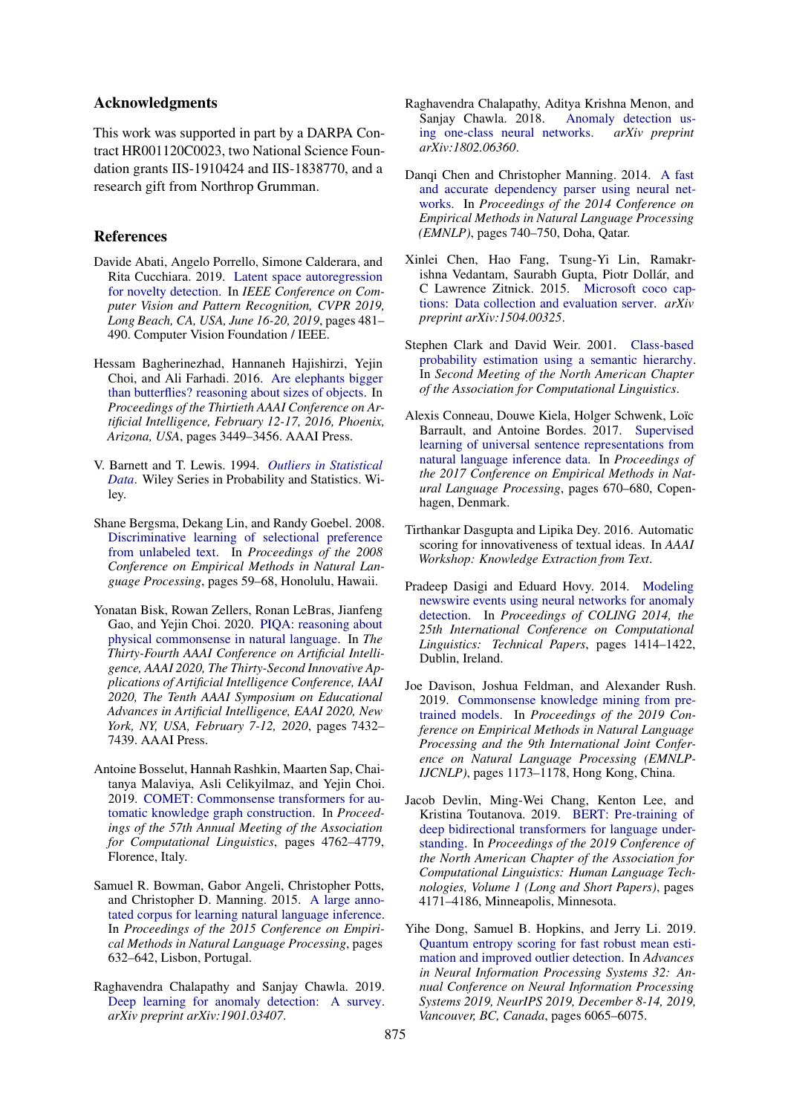# Acknowledgments

This work was supported in part by a DARPA Contract HR001120C0023, two National Science Foundation grants IIS-1910424 and IIS-1838770, and a research gift from Northrop Grumman.

### References

- <span id="page-9-2"></span>Davide Abati, Angelo Porrello, Simone Calderara, and Rita Cucchiara. 2019. [Latent space autoregression](https://doi.org/10.1109/CVPR.2019.00057) [for novelty detection.](https://doi.org/10.1109/CVPR.2019.00057) In *IEEE Conference on Computer Vision and Pattern Recognition, CVPR 2019, Long Beach, CA, USA, June 16-20, 2019*, pages 481– 490. Computer Vision Foundation / IEEE.
- <span id="page-9-11"></span>Hessam Bagherinezhad, Hannaneh Hajishirzi, Yejin Choi, and Ali Farhadi. 2016. [Are elephants bigger](http://www.aaai.org/ocs/index.php/AAAI/AAAI16/paper/view/12510) [than butterflies? reasoning about sizes of objects.](http://www.aaai.org/ocs/index.php/AAAI/AAAI16/paper/view/12510) In *Proceedings of the Thirtieth AAAI Conference on Artificial Intelligence, February 12-17, 2016, Phoenix, Arizona, USA*, pages 3449–3456. AAAI Press.
- <span id="page-9-0"></span>V. Barnett and T. Lewis. 1994. *[Outliers in Statistical](https://books.google.com/books?id=B44QAQAAIAAJ) [Data](https://books.google.com/books?id=B44QAQAAIAAJ)*. Wiley Series in Probability and Statistics. Wiley.
- <span id="page-9-7"></span>Shane Bergsma, Dekang Lin, and Randy Goebel. 2008. [Discriminative learning of selectional preference](https://www.aclweb.org/anthology/D08-1007) [from unlabeled text.](https://www.aclweb.org/anthology/D08-1007) In *Proceedings of the 2008 Conference on Empirical Methods in Natural Language Processing*, pages 59–68, Honolulu, Hawaii.
- <span id="page-9-12"></span>Yonatan Bisk, Rowan Zellers, Ronan LeBras, Jianfeng Gao, and Yejin Choi. 2020. [PIQA: reasoning about](https://aaai.org/ojs/index.php/AAAI/article/view/6239) [physical commonsense in natural language.](https://aaai.org/ojs/index.php/AAAI/article/view/6239) In *The Thirty-Fourth AAAI Conference on Artificial Intelligence, AAAI 2020, The Thirty-Second Innovative Applications of Artificial Intelligence Conference, IAAI 2020, The Tenth AAAI Symposium on Educational Advances in Artificial Intelligence, EAAI 2020, New York, NY, USA, February 7-12, 2020*, pages 7432– 7439. AAAI Press.
- <span id="page-9-10"></span>Antoine Bosselut, Hannah Rashkin, Maarten Sap, Chaitanya Malaviya, Asli Celikyilmaz, and Yejin Choi. 2019. [COMET: Commonsense transformers for au](https://doi.org/10.18653/v1/P19-1470)[tomatic knowledge graph construction.](https://doi.org/10.18653/v1/P19-1470) In *Proceedings of the 57th Annual Meeting of the Association for Computational Linguistics*, pages 4762–4779, Florence, Italy.
- <span id="page-9-17"></span>Samuel R. Bowman, Gabor Angeli, Christopher Potts, and Christopher D. Manning. 2015. [A large anno](https://doi.org/10.18653/v1/D15-1075)[tated corpus for learning natural language inference.](https://doi.org/10.18653/v1/D15-1075) In *Proceedings of the 2015 Conference on Empirical Methods in Natural Language Processing*, pages 632–642, Lisbon, Portugal.
- <span id="page-9-3"></span>Raghavendra Chalapathy and Sanjay Chawla. 2019. [Deep learning for anomaly detection: A survey.](https://arxiv.org/abs/1901.03407) *arXiv preprint arXiv:1901.03407*.
- <span id="page-9-1"></span>Raghavendra Chalapathy, Aditya Krishna Menon, and Sanjay Chawla. 2018. [Anomaly detection us](https://arxiv.org/abs/1802.06360)[ing one-class neural networks.](https://arxiv.org/abs/1802.06360) *arXiv preprint arXiv:1802.06360*.
- <span id="page-9-14"></span>Dangi Chen and Christopher Manning. 2014. [A fast](https://doi.org/10.3115/v1/D14-1082) [and accurate dependency parser using neural net](https://doi.org/10.3115/v1/D14-1082)[works.](https://doi.org/10.3115/v1/D14-1082) In *Proceedings of the 2014 Conference on Empirical Methods in Natural Language Processing (EMNLP)*, pages 740–750, Doha, Qatar.
- <span id="page-9-13"></span>Xinlei Chen, Hao Fang, Tsung-Yi Lin, Ramakrishna Vedantam, Saurabh Gupta, Piotr Dollár, and C Lawrence Zitnick. 2015. [Microsoft coco cap](https://arxiv.org/abs/1504.00325)[tions: Data collection and evaluation server.](https://arxiv.org/abs/1504.00325) *arXiv preprint arXiv:1504.00325*.
- <span id="page-9-6"></span>Stephen Clark and David Weir. 2001. [Class-based](https://www.aclweb.org/anthology/N01-1013) [probability estimation using a semantic hierarchy.](https://www.aclweb.org/anthology/N01-1013) In *Second Meeting of the North American Chapter of the Association for Computational Linguistics*.
- <span id="page-9-16"></span>Alexis Conneau, Douwe Kiela, Holger Schwenk, Loïc Barrault, and Antoine Bordes. 2017. [Supervised](https://doi.org/10.18653/v1/D17-1070) [learning of universal sentence representations from](https://doi.org/10.18653/v1/D17-1070) [natural language inference data.](https://doi.org/10.18653/v1/D17-1070) In *Proceedings of the 2017 Conference on Empirical Methods in Natural Language Processing*, pages 670–680, Copenhagen, Denmark.
- <span id="page-9-5"></span>Tirthankar Dasgupta and Lipika Dey. 2016. Automatic scoring for innovativeness of textual ideas. In *AAAI Workshop: Knowledge Extraction from Text*.
- <span id="page-9-8"></span>Pradeep Dasigi and Eduard Hovy. 2014. [Modeling](https://www.aclweb.org/anthology/C14-1134) [newswire events using neural networks for anomaly](https://www.aclweb.org/anthology/C14-1134) [detection.](https://www.aclweb.org/anthology/C14-1134) In *Proceedings of COLING 2014, the 25th International Conference on Computational Linguistics: Technical Papers*, pages 1414–1422, Dublin, Ireland.
- <span id="page-9-9"></span>Joe Davison, Joshua Feldman, and Alexander Rush. 2019. [Commonsense knowledge mining from pre](https://doi.org/10.18653/v1/D19-1109)[trained models.](https://doi.org/10.18653/v1/D19-1109) In *Proceedings of the 2019 Conference on Empirical Methods in Natural Language Processing and the 9th International Joint Conference on Natural Language Processing (EMNLP-IJCNLP)*, pages 1173–1178, Hong Kong, China.
- <span id="page-9-15"></span>Jacob Devlin, Ming-Wei Chang, Kenton Lee, and Kristina Toutanova. 2019. [BERT: Pre-training of](https://doi.org/10.18653/v1/N19-1423) [deep bidirectional transformers for language under](https://doi.org/10.18653/v1/N19-1423)[standing.](https://doi.org/10.18653/v1/N19-1423) In *Proceedings of the 2019 Conference of the North American Chapter of the Association for Computational Linguistics: Human Language Technologies, Volume 1 (Long and Short Papers)*, pages 4171–4186, Minneapolis, Minnesota.
- <span id="page-9-4"></span>Yihe Dong, Samuel B. Hopkins, and Jerry Li. 2019. [Quantum entropy scoring for fast robust mean esti](https://proceedings.neurips.cc/paper/2019/hash/a4d92e2cd541fca87e4620aba658316d-Abstract.html)[mation and improved outlier detection.](https://proceedings.neurips.cc/paper/2019/hash/a4d92e2cd541fca87e4620aba658316d-Abstract.html) In *Advances in Neural Information Processing Systems 32: Annual Conference on Neural Information Processing Systems 2019, NeurIPS 2019, December 8-14, 2019, Vancouver, BC, Canada*, pages 6065–6075.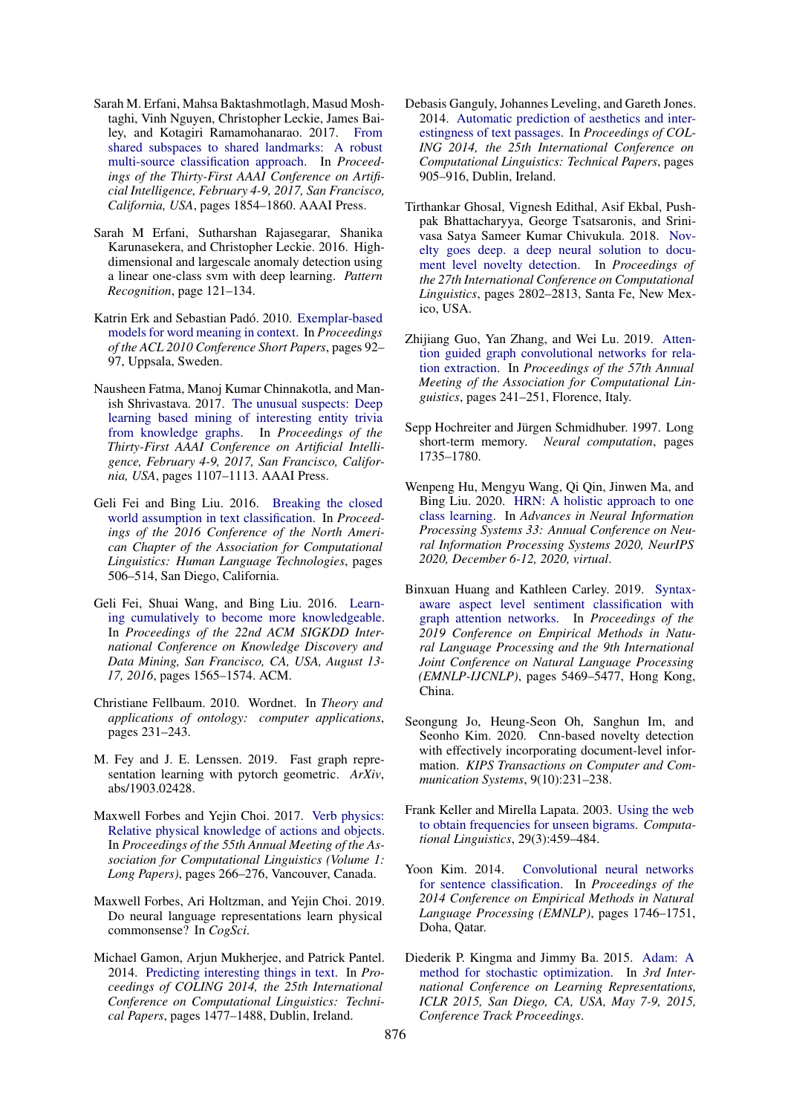- <span id="page-10-4"></span>Sarah M. Erfani, Mahsa Baktashmotlagh, Masud Moshtaghi, Vinh Nguyen, Christopher Leckie, James Bailey, and Kotagiri Ramamohanarao. 2017. [From](http://aaai.org/ocs/index.php/AAAI/AAAI17/paper/view/14665) [shared subspaces to shared landmarks: A robust](http://aaai.org/ocs/index.php/AAAI/AAAI17/paper/view/14665) [multi-source classification approach.](http://aaai.org/ocs/index.php/AAAI/AAAI17/paper/view/14665) In *Proceedings of the Thirty-First AAAI Conference on Artificial Intelligence, February 4-9, 2017, San Francisco, California, USA*, pages 1854–1860. AAAI Press.
- <span id="page-10-1"></span>Sarah M Erfani, Sutharshan Rajasegarar, Shanika Karunasekera, and Christopher Leckie. 2016. Highdimensional and largescale anomaly detection using a linear one-class svm with deep learning. *Pattern Recognition*, page 121–134.
- <span id="page-10-8"></span>Katrin Erk and Sebastian Padó. 2010. [Exemplar-based](https://www.aclweb.org/anthology/P10-2017) [models for word meaning in context.](https://www.aclweb.org/anthology/P10-2017) In *Proceedings of the ACL 2010 Conference Short Papers*, pages 92– 97, Uppsala, Sweden.
- <span id="page-10-13"></span>Nausheen Fatma, Manoj Kumar Chinnakotla, and Manish Shrivastava. 2017. [The unusual suspects: Deep](http://aaai.org/ocs/index.php/AAAI/AAAI17/paper/view/14585) [learning based mining of interesting entity trivia](http://aaai.org/ocs/index.php/AAAI/AAAI17/paper/view/14585) [from knowledge graphs.](http://aaai.org/ocs/index.php/AAAI/AAAI17/paper/view/14585) In *Proceedings of the Thirty-First AAAI Conference on Artificial Intelligence, February 4-9, 2017, San Francisco, California, USA*, pages 1107–1113. AAAI Press.
- <span id="page-10-0"></span>Geli Fei and Bing Liu. 2016. [Breaking the closed](https://doi.org/10.18653/v1/N16-1061) [world assumption in text classification.](https://doi.org/10.18653/v1/N16-1061) In *Proceedings of the 2016 Conference of the North American Chapter of the Association for Computational Linguistics: Human Language Technologies*, pages 506–514, San Diego, California.
- <span id="page-10-3"></span>Geli Fei, Shuai Wang, and Bing Liu. 2016. [Learn](https://doi.org/10.1145/2939672.2939835)[ing cumulatively to become more knowledgeable.](https://doi.org/10.1145/2939672.2939835) In *Proceedings of the 22nd ACM SIGKDD International Conference on Knowledge Discovery and Data Mining, San Francisco, CA, USA, August 13- 17, 2016*, pages 1565–1574. ACM.
- <span id="page-10-16"></span>Christiane Fellbaum. 2010. Wordnet. In *Theory and applications of ontology: computer applications*, pages 231–243.
- <span id="page-10-19"></span>M. Fey and J. E. Lenssen. 2019. Fast graph representation learning with pytorch geometric. *ArXiv*, abs/1903.02428.
- <span id="page-10-9"></span>Maxwell Forbes and Yejin Choi. 2017. [Verb physics:](https://doi.org/10.18653/v1/P17-1025) [Relative physical knowledge of actions and objects.](https://doi.org/10.18653/v1/P17-1025) In *Proceedings of the 55th Annual Meeting of the Association for Computational Linguistics (Volume 1: Long Papers)*, pages 266–276, Vancouver, Canada.
- <span id="page-10-10"></span>Maxwell Forbes, Ari Holtzman, and Yejin Choi. 2019. Do neural language representations learn physical commonsense? In *CogSci*.
- <span id="page-10-12"></span>Michael Gamon, Arjun Mukherjee, and Patrick Pantel. 2014. [Predicting interesting things in text.](https://www.aclweb.org/anthology/C14-1140) In *Proceedings of COLING 2014, the 25th International Conference on Computational Linguistics: Technical Papers*, pages 1477–1488, Dublin, Ireland.
- <span id="page-10-11"></span>Debasis Ganguly, Johannes Leveling, and Gareth Jones. 2014. [Automatic prediction of aesthetics and inter](https://www.aclweb.org/anthology/C14-1086)[estingness of text passages.](https://www.aclweb.org/anthology/C14-1086) In *Proceedings of COL-ING 2014, the 25th International Conference on Computational Linguistics: Technical Papers*, pages 905–916, Dublin, Ireland.
- <span id="page-10-5"></span>Tirthankar Ghosal, Vignesh Edithal, Asif Ekbal, Pushpak Bhattacharyya, George Tsatsaronis, and Srinivasa Satya Sameer Kumar Chivukula. 2018. [Nov](https://www.aclweb.org/anthology/C18-1237)[elty goes deep. a deep neural solution to docu](https://www.aclweb.org/anthology/C18-1237)[ment level novelty detection.](https://www.aclweb.org/anthology/C18-1237) In *Proceedings of the 27th International Conference on Computational Linguistics*, pages 2802–2813, Santa Fe, New Mexico, USA.
- <span id="page-10-15"></span>Zhijiang Guo, Yan Zhang, and Wei Lu. 2019. [Atten](https://doi.org/10.18653/v1/P19-1024)[tion guided graph convolutional networks for rela](https://doi.org/10.18653/v1/P19-1024)[tion extraction.](https://doi.org/10.18653/v1/P19-1024) In *Proceedings of the 57th Annual Meeting of the Association for Computational Linguistics*, pages 241–251, Florence, Italy.
- <span id="page-10-17"></span>Sepp Hochreiter and Jürgen Schmidhuber. 1997. Long short-term memory. *Neural computation*, pages 1735–1780.
- <span id="page-10-2"></span>Wenpeng Hu, Mengyu Wang, Qi Qin, Jinwen Ma, and Bing Liu. 2020. [HRN: A holistic approach to one](https://proceedings.neurips.cc/paper/2020/hash/dd1970fb03877a235d530476eb727dab-Abstract.html) [class learning.](https://proceedings.neurips.cc/paper/2020/hash/dd1970fb03877a235d530476eb727dab-Abstract.html) In *Advances in Neural Information Processing Systems 33: Annual Conference on Neural Information Processing Systems 2020, NeurIPS 2020, December 6-12, 2020, virtual*.
- <span id="page-10-14"></span>Binxuan Huang and Kathleen Carley. 2019. [Syntax](https://doi.org/10.18653/v1/D19-1549)[aware aspect level sentiment classification with](https://doi.org/10.18653/v1/D19-1549) [graph attention networks.](https://doi.org/10.18653/v1/D19-1549) In *Proceedings of the 2019 Conference on Empirical Methods in Natural Language Processing and the 9th International Joint Conference on Natural Language Processing (EMNLP-IJCNLP)*, pages 5469–5477, Hong Kong, China.
- <span id="page-10-6"></span>Seongung Jo, Heung-Seon Oh, Sanghun Im, and Seonho Kim. 2020. Cnn-based novelty detection with effectively incorporating document-level information. *KIPS Transactions on Computer and Communication Systems*, 9(10):231–238.
- <span id="page-10-7"></span>Frank Keller and Mirella Lapata. 2003. [Using the web](https://doi.org/10.1162/089120103322711604) [to obtain frequencies for unseen bigrams.](https://doi.org/10.1162/089120103322711604) *Computational Linguistics*, 29(3):459–484.
- <span id="page-10-20"></span>Yoon Kim. 2014. [Convolutional neural networks](https://doi.org/10.3115/v1/D14-1181) [for sentence classification.](https://doi.org/10.3115/v1/D14-1181) In *Proceedings of the 2014 Conference on Empirical Methods in Natural Language Processing (EMNLP)*, pages 1746–1751, Doha, Qatar.
- <span id="page-10-18"></span>Diederik P. Kingma and Jimmy Ba. 2015. [Adam: A](http://arxiv.org/abs/1412.6980) [method for stochastic optimization.](http://arxiv.org/abs/1412.6980) In *3rd International Conference on Learning Representations, ICLR 2015, San Diego, CA, USA, May 7-9, 2015, Conference Track Proceedings*.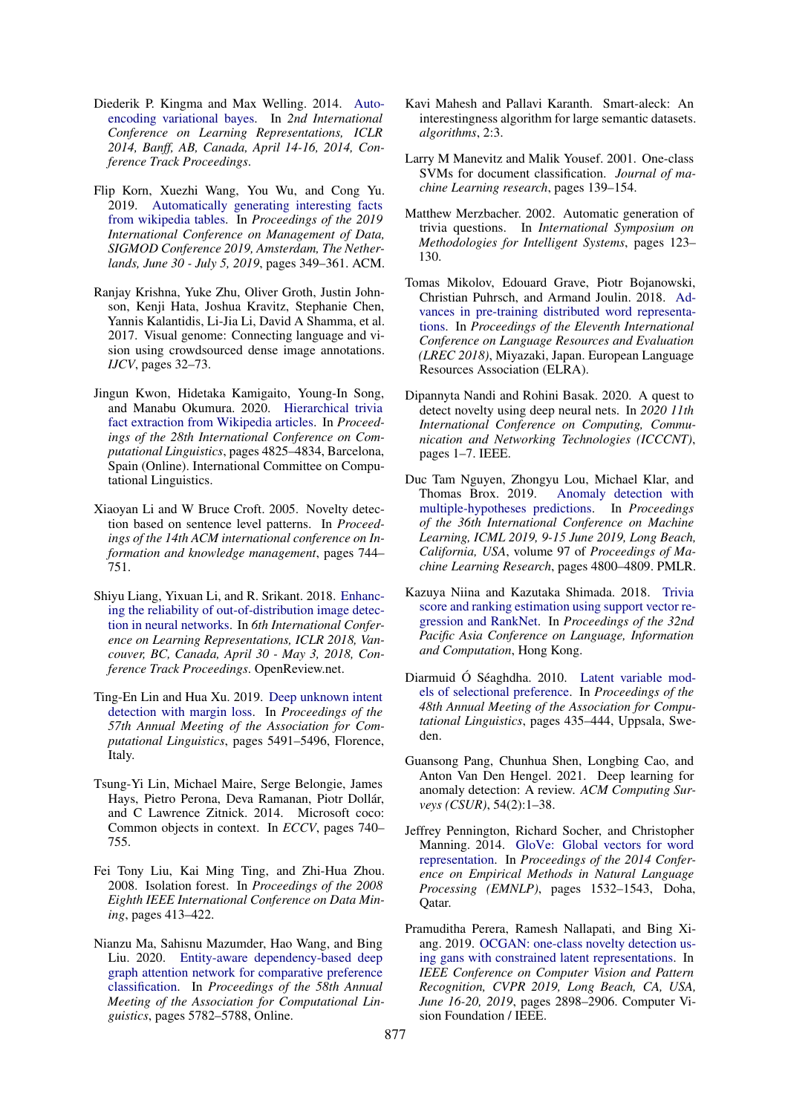- <span id="page-11-17"></span>Diederik P. Kingma and Max Welling. 2014. [Auto](http://arxiv.org/abs/1312.6114)[encoding variational bayes.](http://arxiv.org/abs/1312.6114) In *2nd International Conference on Learning Representations, ICLR 2014, Banff, AB, Canada, April 14-16, 2014, Conference Track Proceedings*.
- <span id="page-11-12"></span>Flip Korn, Xuezhi Wang, You Wu, and Cong Yu. 2019. [Automatically generating interesting facts](https://doi.org/10.1145/3299869.3314043) [from wikipedia tables.](https://doi.org/10.1145/3299869.3314043) In *Proceedings of the 2019 International Conference on Management of Data, SIGMOD Conference 2019, Amsterdam, The Netherlands, June 30 - July 5, 2019*, pages 349–361. ACM.
- <span id="page-11-16"></span>Ranjay Krishna, Yuke Zhu, Oliver Groth, Justin Johnson, Kenji Hata, Joshua Kravitz, Stephanie Chen, Yannis Kalantidis, Li-Jia Li, David A Shamma, et al. 2017. Visual genome: Connecting language and vision using crowdsourced dense image annotations. *IJCV*, pages 32–73.
- <span id="page-11-13"></span>Jingun Kwon, Hidetaka Kamigaito, Young-In Song, and Manabu Okumura. 2020. [Hierarchical trivia](https://doi.org/10.18653/v1/2020.coling-main.424) [fact extraction from Wikipedia articles.](https://doi.org/10.18653/v1/2020.coling-main.424) In *Proceedings of the 28th International Conference on Computational Linguistics*, pages 4825–4834, Barcelona, Spain (Online). International Committee on Computational Linguistics.
- <span id="page-11-7"></span>Xiaoyan Li and W Bruce Croft. 2005. Novelty detection based on sentence level patterns. In *Proceedings of the 14th ACM international conference on Information and knowledge management*, pages 744– 751.
- <span id="page-11-5"></span>Shiyu Liang, Yixuan Li, and R. Srikant. 2018. [Enhanc](https://openreview.net/forum?id=H1VGkIxRZ)[ing the reliability of out-of-distribution image detec](https://openreview.net/forum?id=H1VGkIxRZ)[tion in neural networks.](https://openreview.net/forum?id=H1VGkIxRZ) In *6th International Conference on Learning Representations, ICLR 2018, Vancouver, BC, Canada, April 30 - May 3, 2018, Conference Track Proceedings*. OpenReview.net.
- <span id="page-11-1"></span>Ting-En Lin and Hua Xu. 2019. [Deep unknown intent](https://doi.org/10.18653/v1/P19-1548) [detection with margin loss.](https://doi.org/10.18653/v1/P19-1548) In *Proceedings of the 57th Annual Meeting of the Association for Computational Linguistics*, pages 5491–5496, Florence, Italy.
- <span id="page-11-15"></span>Tsung-Yi Lin, Michael Maire, Serge Belongie, James Hays, Pietro Perona, Deva Ramanan, Piotr Dollár, and C Lawrence Zitnick. 2014. Microsoft coco: Common objects in context. In *ECCV*, pages 740– 755.
- <span id="page-11-18"></span>Fei Tony Liu, Kai Ming Ting, and Zhi-Hua Zhou. 2008. Isolation forest. In *Proceedings of the 2008 Eighth IEEE International Conference on Data Mining*, pages 413–422.
- <span id="page-11-14"></span>Nianzu Ma, Sahisnu Mazumder, Hao Wang, and Bing Liu. 2020. [Entity-aware dependency-based deep](https://doi.org/10.18653/v1/2020.acl-main.512) [graph attention network for comparative preference](https://doi.org/10.18653/v1/2020.acl-main.512) [classification.](https://doi.org/10.18653/v1/2020.acl-main.512) In *Proceedings of the 58th Annual Meeting of the Association for Computational Linguistics*, pages 5782–5788, Online.
- <span id="page-11-10"></span>Kavi Mahesh and Pallavi Karanth. Smart-aleck: An interestingness algorithm for large semantic datasets. *algorithms*, 2:3.
- <span id="page-11-2"></span>Larry M Manevitz and Malik Yousef. 2001. One-class SVMs for document classification. *Journal of machine Learning research*, pages 139–154.
- <span id="page-11-9"></span>Matthew Merzbacher. 2002. Automatic generation of trivia questions. In *International Symposium on Methodologies for Intelligent Systems*, pages 123– 130.
- <span id="page-11-20"></span>Tomas Mikolov, Edouard Grave, Piotr Bojanowski, Christian Puhrsch, and Armand Joulin. 2018. [Ad](https://www.aclweb.org/anthology/L18-1008)[vances in pre-training distributed word representa](https://www.aclweb.org/anthology/L18-1008)[tions.](https://www.aclweb.org/anthology/L18-1008) In *Proceedings of the Eleventh International Conference on Language Resources and Evaluation (LREC 2018)*, Miyazaki, Japan. European Language Resources Association (ELRA).
- <span id="page-11-6"></span>Dipannyta Nandi and Rohini Basak. 2020. A quest to detect novelty using deep neural nets. In *2020 11th International Conference on Computing, Communication and Networking Technologies (ICCCNT)*, pages 1–7. IEEE.
- <span id="page-11-4"></span>Duc Tam Nguyen, Zhongyu Lou, Michael Klar, and Thomas Brox. 2019. [Anomaly detection with](http://proceedings.mlr.press/v97/nguyen19b.html) [multiple-hypotheses predictions.](http://proceedings.mlr.press/v97/nguyen19b.html) In *Proceedings of the 36th International Conference on Machine Learning, ICML 2019, 9-15 June 2019, Long Beach, California, USA*, volume 97 of *Proceedings of Machine Learning Research*, pages 4800–4809. PMLR.
- <span id="page-11-11"></span>Kazuya Niina and Kazutaka Shimada. 2018. [Trivia](https://www.aclweb.org/anthology/Y18-1031) [score and ranking estimation using support vector re](https://www.aclweb.org/anthology/Y18-1031)[gression and RankNet.](https://www.aclweb.org/anthology/Y18-1031) In *Proceedings of the 32nd Pacific Asia Conference on Language, Information and Computation*, Hong Kong.
- <span id="page-11-8"></span>Diarmuid Ó Séaghdha. 2010. [Latent variable mod](https://www.aclweb.org/anthology/P10-1045)[els of selectional preference.](https://www.aclweb.org/anthology/P10-1045) In *Proceedings of the 48th Annual Meeting of the Association for Computational Linguistics*, pages 435–444, Uppsala, Sweden.
- <span id="page-11-0"></span>Guansong Pang, Chunhua Shen, Longbing Cao, and Anton Van Den Hengel. 2021. Deep learning for anomaly detection: A review. *ACM Computing Surveys (CSUR)*, 54(2):1–38.
- <span id="page-11-19"></span>Jeffrey Pennington, Richard Socher, and Christopher Manning. 2014. [GloVe: Global vectors for word](https://doi.org/10.3115/v1/D14-1162) [representation.](https://doi.org/10.3115/v1/D14-1162) In *Proceedings of the 2014 Conference on Empirical Methods in Natural Language Processing (EMNLP)*, pages 1532–1543, Doha, Qatar.
- <span id="page-11-3"></span>Pramuditha Perera, Ramesh Nallapati, and Bing Xiang. 2019. [OCGAN: one-class novelty detection us](https://doi.org/10.1109/CVPR.2019.00301)[ing gans with constrained latent representations.](https://doi.org/10.1109/CVPR.2019.00301) In *IEEE Conference on Computer Vision and Pattern Recognition, CVPR 2019, Long Beach, CA, USA, June 16-20, 2019*, pages 2898–2906. Computer Vision Foundation / IEEE.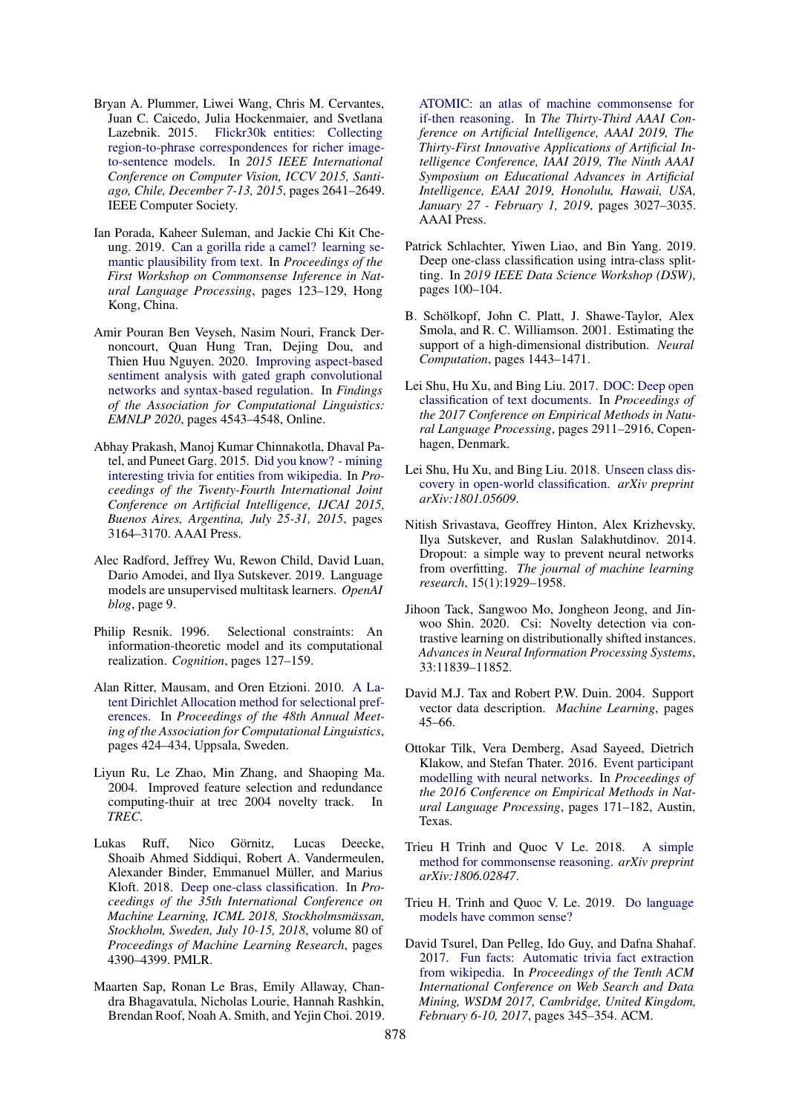- <span id="page-12-16"></span>Bryan A. Plummer, Liwei Wang, Chris M. Cervantes, Juan C. Caicedo, Julia Hockenmaier, and Svetlana Lazebnik. 2015. [Flickr30k entities: Collecting](https://doi.org/10.1109/ICCV.2015.303) [region-to-phrase correspondences for richer image](https://doi.org/10.1109/ICCV.2015.303)[to-sentence models.](https://doi.org/10.1109/ICCV.2015.303) In *2015 IEEE International Conference on Computer Vision, ICCV 2015, Santiago, Chile, December 7-13, 2015*, pages 2641–2649. IEEE Computer Society.
- <span id="page-12-6"></span>Ian Porada, Kaheer Suleman, and Jackie Chi Kit Cheung. 2019. [Can a gorilla ride a camel? learning se](https://doi.org/10.18653/v1/D19-6015)[mantic plausibility from text.](https://doi.org/10.18653/v1/D19-6015) In *Proceedings of the First Workshop on Commonsense Inference in Natural Language Processing*, pages 123–129, Hong Kong, China.
- <span id="page-12-15"></span>Amir Pouran Ben Veyseh, Nasim Nouri, Franck Dernoncourt, Quan Hung Tran, Dejing Dou, and Thien Huu Nguyen. 2020. [Improving aspect-based](https://doi.org/10.18653/v1/2020.findings-emnlp.407) [sentiment analysis with gated graph convolutional](https://doi.org/10.18653/v1/2020.findings-emnlp.407) [networks and syntax-based regulation.](https://doi.org/10.18653/v1/2020.findings-emnlp.407) In *Findings of the Association for Computational Linguistics: EMNLP 2020*, pages 4543–4548, Online.
- <span id="page-12-13"></span>Abhay Prakash, Manoj Kumar Chinnakotla, Dhaval Patel, and Puneet Garg. 2015. [Did you know? - mining](http://ijcai.org/Abstract/15/446) [interesting trivia for entities from wikipedia.](http://ijcai.org/Abstract/15/446) In *Proceedings of the Twenty-Fourth International Joint Conference on Artificial Intelligence, IJCAI 2015, Buenos Aires, Argentina, July 25-31, 2015*, pages 3164–3170. AAAI Press.
- <span id="page-12-17"></span>Alec Radford, Jeffrey Wu, Rewon Child, David Luan, Dario Amodei, and Ilya Sutskever. 2019. Language models are unsupervised multitask learners. *OpenAI blog*, page 9.
- <span id="page-12-8"></span>Philip Resnik. 1996. Selectional constraints: An information-theoretic model and its computational realization. *Cognition*, pages 127–159.
- <span id="page-12-9"></span>Alan Ritter, Mausam, and Oren Etzioni. 2010. [A La](https://www.aclweb.org/anthology/P10-1044)[tent Dirichlet Allocation method for selectional pref](https://www.aclweb.org/anthology/P10-1044)[erences.](https://www.aclweb.org/anthology/P10-1044) In *Proceedings of the 48th Annual Meeting of the Association for Computational Linguistics*, pages 424–434, Uppsala, Sweden.
- <span id="page-12-5"></span>Liyun Ru, Le Zhao, Min Zhang, and Shaoping Ma. 2004. Improved feature selection and redundance computing-thuir at trec 2004 novelty track. In *TREC*.
- <span id="page-12-3"></span>Lukas Ruff, Nico Görnitz, Lucas Deecke, Shoaib Ahmed Siddiqui, Robert A. Vandermeulen, Alexander Binder, Emmanuel Müller, and Marius Kloft. 2018. [Deep one-class classification.](http://proceedings.mlr.press/v80/ruff18a.html) In *Proceedings of the 35th International Conference on Machine Learning, ICML 2018, Stockholmsmässan, Stockholm, Sweden, July 10-15, 2018*, volume 80 of *Proceedings of Machine Learning Research*, pages 4390–4399. PMLR.
- <span id="page-12-7"></span>Maarten Sap, Ronan Le Bras, Emily Allaway, Chandra Bhagavatula, Nicholas Lourie, Hannah Rashkin, Brendan Roof, Noah A. Smith, and Yejin Choi. 2019.

[ATOMIC: an atlas of machine commonsense for](https://doi.org/10.1609/aaai.v33i01.33013027) [if-then reasoning.](https://doi.org/10.1609/aaai.v33i01.33013027) In *The Thirty-Third AAAI Conference on Artificial Intelligence, AAAI 2019, The Thirty-First Innovative Applications of Artificial Intelligence Conference, IAAI 2019, The Ninth AAAI Symposium on Educational Advances in Artificial Intelligence, EAAI 2019, Honolulu, Hawaii, USA, January 27 - February 1, 2019*, pages 3027–3035. AAAI Press.

- <span id="page-12-18"></span>Patrick Schlachter, Yiwen Liao, and Bin Yang. 2019. Deep one-class classification using intra-class splitting. In *2019 IEEE Data Science Workshop (DSW)*, pages 100–104.
- <span id="page-12-1"></span>B. Schölkopf, John C. Platt, J. Shawe-Taylor, Alex Smola, and R. C. Williamson. 2001. Estimating the support of a high-dimensional distribution. *Neural Computation*, pages 1443–1471.
- <span id="page-12-0"></span>Lei Shu, Hu Xu, and Bing Liu. 2017. [DOC: Deep open](https://doi.org/10.18653/v1/D17-1314) [classification of text documents.](https://doi.org/10.18653/v1/D17-1314) In *Proceedings of the 2017 Conference on Empirical Methods in Natural Language Processing*, pages 2911–2916, Copenhagen, Denmark.
- <span id="page-12-4"></span>Lei Shu, Hu Xu, and Bing Liu. 2018. [Unseen class dis](https://arxiv.org/abs/1801.05609)[covery in open-world classification.](https://arxiv.org/abs/1801.05609) *arXiv preprint arXiv:1801.05609*.
- <span id="page-12-20"></span>Nitish Srivastava, Geoffrey Hinton, Alex Krizhevsky, Ilya Sutskever, and Ruslan Salakhutdinov. 2014. Dropout: a simple way to prevent neural networks from overfitting. *The journal of machine learning research*, 15(1):1929–1958.
- <span id="page-12-19"></span>Jihoon Tack, Sangwoo Mo, Jongheon Jeong, and Jinwoo Shin. 2020. Csi: Novelty detection via contrastive learning on distributionally shifted instances. *Advances in Neural Information Processing Systems*, 33:11839–11852.
- <span id="page-12-2"></span>David M.J. Tax and Robert P.W. Duin. 2004. Support vector data description. *Machine Learning*, pages 45–66.
- <span id="page-12-10"></span>Ottokar Tilk, Vera Demberg, Asad Sayeed, Dietrich Klakow, and Stefan Thater. 2016. [Event participant](https://doi.org/10.18653/v1/D16-1017) [modelling with neural networks.](https://doi.org/10.18653/v1/D16-1017) In *Proceedings of the 2016 Conference on Empirical Methods in Natural Language Processing*, pages 171–182, Austin, Texas.
- <span id="page-12-12"></span>Trieu H Trinh and Quoc V Le. 2018. [A simple](https://arxiv.org/abs/1806.02847) [method for commonsense reasoning.](https://arxiv.org/abs/1806.02847) *arXiv preprint arXiv:1806.02847*.
- <span id="page-12-11"></span>Trieu H. Trinh and Quoc V. Le. 2019. [Do language](https://openreview.net/forum?id=rkgfWh0qKX) [models have common sense?](https://openreview.net/forum?id=rkgfWh0qKX)
- <span id="page-12-14"></span>David Tsurel, Dan Pelleg, Ido Guy, and Dafna Shahaf. 2017. [Fun facts: Automatic trivia fact extraction](https://doi.org/10.1145/3018661.3018709) [from wikipedia.](https://doi.org/10.1145/3018661.3018709) In *Proceedings of the Tenth ACM International Conference on Web Search and Data Mining, WSDM 2017, Cambridge, United Kingdom, February 6-10, 2017*, pages 345–354. ACM.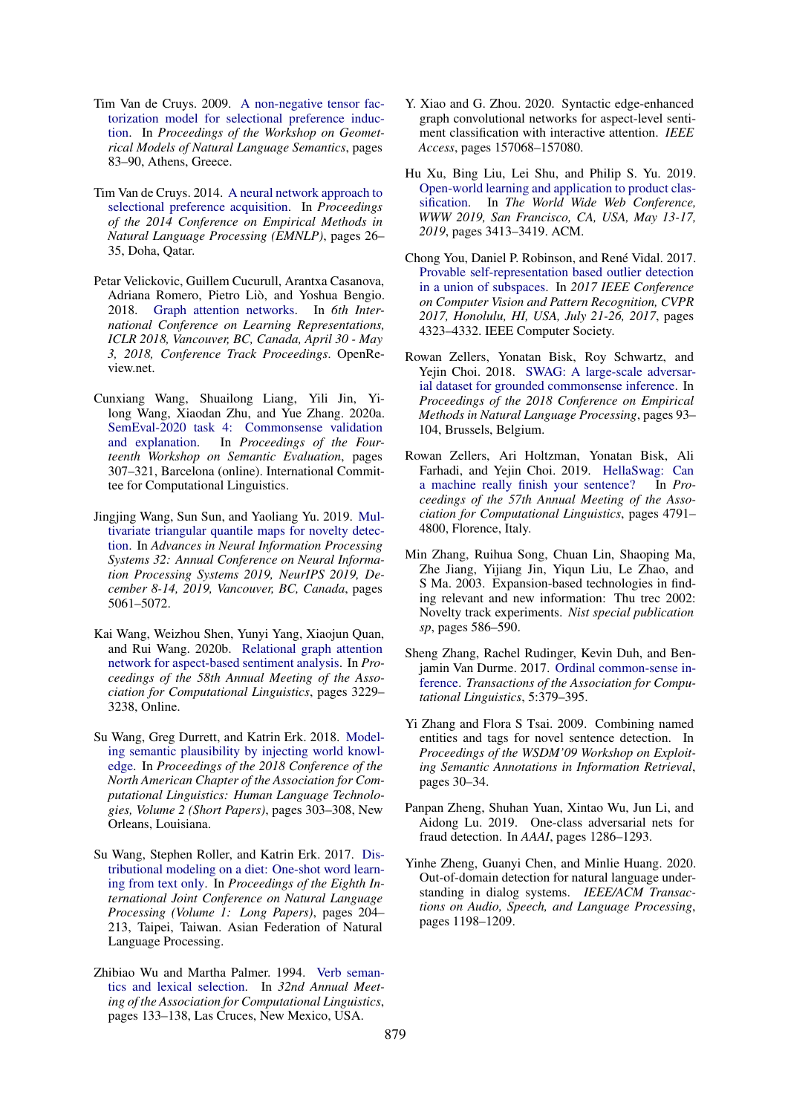- <span id="page-13-9"></span>Tim Van de Cruys. 2009. [A non-negative tensor fac](https://www.aclweb.org/anthology/W09-0211)[torization model for selectional preference induc](https://www.aclweb.org/anthology/W09-0211)[tion.](https://www.aclweb.org/anthology/W09-0211) In *Proceedings of the Workshop on Geometrical Models of Natural Language Semantics*, pages 83–90, Athens, Greece.
- <span id="page-13-10"></span>Tim Van de Cruys. 2014. [A neural network approach to](https://doi.org/10.3115/v1/D14-1004) [selectional preference acquisition.](https://doi.org/10.3115/v1/D14-1004) In *Proceedings of the 2014 Conference on Empirical Methods in Natural Language Processing (EMNLP)*, pages 26– 35, Doha, Qatar.
- <span id="page-13-18"></span>Petar Velickovic, Guillem Cucurull, Arantxa Casanova, Adriana Romero, Pietro Liò, and Yoshua Bengio. 2018. [Graph attention networks.](https://openreview.net/forum?id=rJXMpikCZ) In *6th International Conference on Learning Representations, ICLR 2018, Vancouver, BC, Canada, April 30 - May 3, 2018, Conference Track Proceedings*. OpenReview.net.
- <span id="page-13-13"></span>Cunxiang Wang, Shuailong Liang, Yili Jin, Yilong Wang, Xiaodan Zhu, and Yue Zhang. 2020a. [SemEval-2020 task 4: Commonsense validation](https://www.aclweb.org/anthology/2020.semeval-1.39) [and explanation.](https://www.aclweb.org/anthology/2020.semeval-1.39) In *Proceedings of the Fourteenth Workshop on Semantic Evaluation*, pages 307–321, Barcelona (online). International Committee for Computational Linguistics.
- <span id="page-13-4"></span>Jingjing Wang, Sun Sun, and Yaoliang Yu. 2019. [Mul](https://proceedings.neurips.cc/paper/2019/hash/6244b2ba957c48bc64582cf2bcec3d04-Abstract.html)[tivariate triangular quantile maps for novelty detec](https://proceedings.neurips.cc/paper/2019/hash/6244b2ba957c48bc64582cf2bcec3d04-Abstract.html)[tion.](https://proceedings.neurips.cc/paper/2019/hash/6244b2ba957c48bc64582cf2bcec3d04-Abstract.html) In *Advances in Neural Information Processing Systems 32: Annual Conference on Neural Information Processing Systems 2019, NeurIPS 2019, December 8-14, 2019, Vancouver, BC, Canada*, pages 5061–5072.
- <span id="page-13-15"></span>Kai Wang, Weizhou Shen, Yunyi Yang, Xiaojun Quan, and Rui Wang. 2020b. [Relational graph attention](https://doi.org/10.18653/v1/2020.acl-main.295) [network for aspect-based sentiment analysis.](https://doi.org/10.18653/v1/2020.acl-main.295) In *Proceedings of the 58th Annual Meeting of the Association for Computational Linguistics*, pages 3229– 3238, Online.
- <span id="page-13-7"></span>Su Wang, Greg Durrett, and Katrin Erk. 2018. [Model](https://doi.org/10.18653/v1/N18-2049)[ing semantic plausibility by injecting world knowl](https://doi.org/10.18653/v1/N18-2049)[edge.](https://doi.org/10.18653/v1/N18-2049) In *Proceedings of the 2018 Conference of the North American Chapter of the Association for Computational Linguistics: Human Language Technologies, Volume 2 (Short Papers)*, pages 303–308, New Orleans, Louisiana.
- <span id="page-13-14"></span>Su Wang, Stephen Roller, and Katrin Erk. 2017. [Dis](https://www.aclweb.org/anthology/I17-1021)[tributional modeling on a diet: One-shot word learn](https://www.aclweb.org/anthology/I17-1021)[ing from text only.](https://www.aclweb.org/anthology/I17-1021) In *Proceedings of the Eighth International Joint Conference on Natural Language Processing (Volume 1: Long Papers)*, pages 204– 213, Taipei, Taiwan. Asian Federation of Natural Language Processing.
- <span id="page-13-17"></span>Zhibiao Wu and Martha Palmer. 1994. [Verb seman](https://doi.org/10.3115/981732.981751)[tics and lexical selection.](https://doi.org/10.3115/981732.981751) In *32nd Annual Meeting of the Association for Computational Linguistics*, pages 133–138, Las Cruces, New Mexico, USA.
- <span id="page-13-16"></span>Y. Xiao and G. Zhou. 2020. Syntactic edge-enhanced graph convolutional networks for aspect-level sentiment classification with interactive attention. *IEEE Access*, pages 157068–157080.
- <span id="page-13-0"></span>Hu Xu, Bing Liu, Lei Shu, and Philip S. Yu. 2019. [Open-world learning and application to product clas](https://doi.org/10.1145/3308558.3313644)[sification.](https://doi.org/10.1145/3308558.3313644) In *The World Wide Web Conference, WWW 2019, San Francisco, CA, USA, May 13-17, 2019*, pages 3413–3419. ACM.
- <span id="page-13-2"></span>Chong You, Daniel P. Robinson, and René Vidal. 2017. [Provable self-representation based outlier detection](https://doi.org/10.1109/CVPR.2017.460) [in a union of subspaces.](https://doi.org/10.1109/CVPR.2017.460) In *2017 IEEE Conference on Computer Vision and Pattern Recognition, CVPR 2017, Honolulu, HI, USA, July 21-26, 2017*, pages 4323–4332. IEEE Computer Society.
- <span id="page-13-11"></span>Rowan Zellers, Yonatan Bisk, Roy Schwartz, and Yejin Choi. 2018. [SWAG: A large-scale adversar](https://doi.org/10.18653/v1/D18-1009)[ial dataset for grounded commonsense inference.](https://doi.org/10.18653/v1/D18-1009) In *Proceedings of the 2018 Conference on Empirical Methods in Natural Language Processing*, pages 93– 104, Brussels, Belgium.
- <span id="page-13-12"></span>Rowan Zellers, Ari Holtzman, Yonatan Bisk, Ali Farhadi, and Yejin Choi. 2019. [HellaSwag: Can](https://doi.org/10.18653/v1/P19-1472) [a machine really finish your sentence?](https://doi.org/10.18653/v1/P19-1472) In *Proceedings of the 57th Annual Meeting of the Association for Computational Linguistics*, pages 4791– 4800, Florence, Italy.
- <span id="page-13-5"></span>Min Zhang, Ruihua Song, Chuan Lin, Shaoping Ma, Zhe Jiang, Yijiang Jin, Yiqun Liu, Le Zhao, and S Ma. 2003. Expansion-based technologies in finding relevant and new information: Thu trec 2002: Novelty track experiments. *Nist special publication sp*, pages 586–590.
- <span id="page-13-8"></span>Sheng Zhang, Rachel Rudinger, Kevin Duh, and Benjamin Van Durme. 2017. [Ordinal common-sense in](https://doi.org/10.1162/tacl_a_00068)[ference.](https://doi.org/10.1162/tacl_a_00068) *Transactions of the Association for Computational Linguistics*, 5:379–395.
- <span id="page-13-6"></span>Yi Zhang and Flora S Tsai. 2009. Combining named entities and tags for novel sentence detection. In *Proceedings of the WSDM'09 Workshop on Exploiting Semantic Annotations in Information Retrieval*, pages 30–34.
- <span id="page-13-3"></span>Panpan Zheng, Shuhan Yuan, Xintao Wu, Jun Li, and Aidong Lu. 2019. One-class adversarial nets for fraud detection. In *AAAI*, pages 1286–1293.
- <span id="page-13-1"></span>Yinhe Zheng, Guanyi Chen, and Minlie Huang. 2020. Out-of-domain detection for natural language understanding in dialog systems. *IEEE/ACM Transactions on Audio, Speech, and Language Processing*, pages 1198–1209.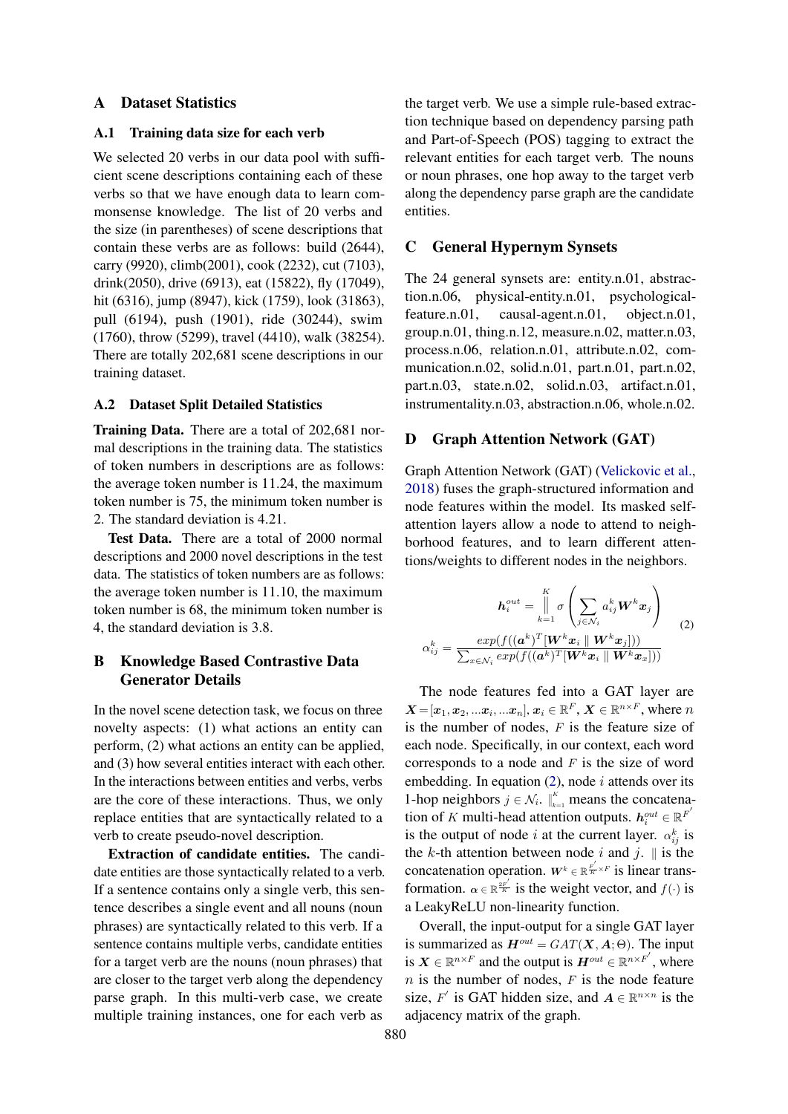## <span id="page-14-0"></span>A Dataset Statistics

#### A.1 Training data size for each verb

We selected 20 verbs in our data pool with sufficient scene descriptions containing each of these verbs so that we have enough data to learn commonsense knowledge. The list of 20 verbs and the size (in parentheses) of scene descriptions that contain these verbs are as follows: build (2644), carry (9920), climb(2001), cook (2232), cut (7103), drink(2050), drive (6913), eat (15822), fly (17049), hit (6316), jump (8947), kick (1759), look (31863), pull (6194), push (1901), ride (30244), swim (1760), throw (5299), travel (4410), walk (38254). There are totally 202,681 scene descriptions in our training dataset.

### A.2 Dataset Split Detailed Statistics

Training Data. There are a total of 202,681 normal descriptions in the training data. The statistics of token numbers in descriptions are as follows: the average token number is 11.24, the maximum token number is 75, the minimum token number is 2. The standard deviation is 4.21.

Test Data. There are a total of 2000 normal descriptions and 2000 novel descriptions in the test data. The statistics of token numbers are as follows: the average token number is 11.10, the maximum token number is 68, the minimum token number is 4, the standard deviation is 3.8.

# <span id="page-14-1"></span>B Knowledge Based Contrastive Data Generator Details

In the novel scene detection task, we focus on three novelty aspects: (1) what actions an entity can perform, (2) what actions an entity can be applied, and (3) how several entities interact with each other. In the interactions between entities and verbs, verbs are the core of these interactions. Thus, we only replace entities that are syntactically related to a verb to create pseudo-novel description.

Extraction of candidate entities. The candidate entities are those syntactically related to a verb. If a sentence contains only a single verb, this sentence describes a single event and all nouns (noun phrases) are syntactically related to this verb. If a sentence contains multiple verbs, candidate entities for a target verb are the nouns (noun phrases) that are closer to the target verb along the dependency parse graph. In this multi-verb case, we create multiple training instances, one for each verb as

the target verb. We use a simple rule-based extraction technique based on dependency parsing path and Part-of-Speech (POS) tagging to extract the relevant entities for each target verb. The nouns or noun phrases, one hop away to the target verb along the dependency parse graph are the candidate entities.

# <span id="page-14-3"></span>C General Hypernym Synsets

The 24 general synsets are: entity.n.01, abstraction.n.06, physical-entity.n.01, psychologicalfeature.n.01, causal-agent.n.01, object.n.01, group.n.01, thing.n.12, measure.n.02, matter.n.03, process.n.06, relation.n.01, attribute.n.02, communication.n.02, solid.n.01, part.n.01, part.n.02, part.n.03, state.n.02, solid.n.03, artifact.n.01, instrumentality.n.03, abstraction.n.06, whole.n.02.

### <span id="page-14-2"></span>D Graph Attention Network (GAT)

Graph Attention Network (GAT) [\(Velickovic et al.,](#page-13-18) [2018\)](#page-13-18) fuses the graph-structured information and node features within the model. Its masked selfattention layers allow a node to attend to neighborhood features, and to learn different attentions/weights to different nodes in the neighbors.

<span id="page-14-4"></span>
$$
h_i^{out} = \prod_{k=1}^K \sigma \left( \sum_{j \in \mathcal{N}_i} a_{ij}^k \mathbf{W}^k \mathbf{x}_j \right)
$$
  

$$
\alpha_{ij}^k = \frac{exp(f((\mathbf{a}^k)^T[\mathbf{W}^k \mathbf{x}_i \parallel \mathbf{W}^k \mathbf{x}_j]))}{\sum_{x \in \mathcal{N}_i} exp(f((\mathbf{a}^k)^T[\mathbf{W}^k \mathbf{x}_i \parallel \mathbf{W}^k \mathbf{x}_x]))}
$$
 (2)

The node features fed into a GAT layer are  $\boldsymbol{X} = [\boldsymbol{x}_1, \boldsymbol{x}_2, ... \boldsymbol{x}_i, ... \boldsymbol{x}_n], \boldsymbol{x}_i \in \mathbb{R}^F, \boldsymbol{X} \in \mathbb{R}^{n \times F}$ , where  $n$ is the number of nodes,  $F$  is the feature size of each node. Specifically, in our context, each word corresponds to a node and  $F$  is the size of word embedding. In equation  $(2)$ , node *i* attends over its 1-hop neighbors  $j \in \mathcal{N}_i$ .  $\big|_{k=1}^K$  means the concatenation of K multi-head attention outputs.  $h_i^{out} \in \mathbb{R}^{F'}$ is the output of node i at the current layer.  $\alpha_{ij}^k$  is the k-th attention between node i and j.  $\parallel$  is the concatenation operation.  $W^k \in \mathbb{R}^{\frac{F^{'}}{K} \times F}$  is linear transformation.  $\alpha \in \mathbb{R}^{\frac{2F'}{K}}$  is the weight vector, and  $f(\cdot)$  is a LeakyReLU non-linearity function.

Overall, the input-output for a single GAT layer is summarized as  $H^{out} = GAT(X, A; \Theta)$ . The input is  $X \in \mathbb{R}^{n \times F}$  and the output is  $H^{out} \in \mathbb{R}^{n \times F'}$ , where  $n$  is the number of nodes,  $F$  is the node feature size, F' is GAT hidden size, and  $A \in \mathbb{R}^{n \times n}$  is the adjacency matrix of the graph.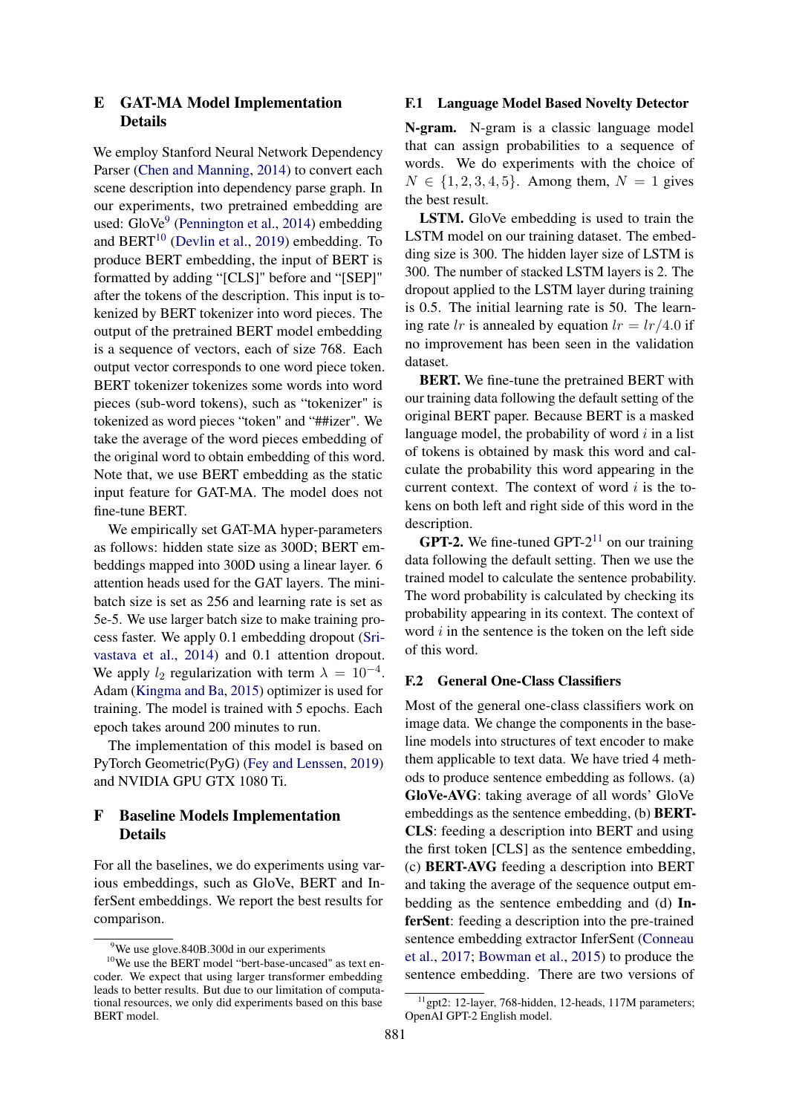# <span id="page-15-1"></span>E GAT-MA Model Implementation Details

We employ Stanford Neural Network Dependency Parser [\(Chen and Manning,](#page-9-14) [2014\)](#page-9-14) to convert each scene description into dependency parse graph. In our experiments, two pretrained embedding are used: GloVe<sup>[9](#page-15-2)</sup> [\(Pennington et al.,](#page-11-19) [2014\)](#page-11-19) embedding and  $BERT<sup>10</sup>$  $BERT<sup>10</sup>$  $BERT<sup>10</sup>$  [\(Devlin et al.,](#page-9-15) [2019\)](#page-9-15) embedding. To produce BERT embedding, the input of BERT is formatted by adding "[CLS]" before and "[SEP]" after the tokens of the description. This input is tokenized by BERT tokenizer into word pieces. The output of the pretrained BERT model embedding is a sequence of vectors, each of size 768. Each output vector corresponds to one word piece token. BERT tokenizer tokenizes some words into word pieces (sub-word tokens), such as "tokenizer" is tokenized as word pieces "token" and "##izer". We take the average of the word pieces embedding of the original word to obtain embedding of this word. Note that, we use BERT embedding as the static input feature for GAT-MA. The model does not fine-tune BERT.

We empirically set GAT-MA hyper-parameters as follows: hidden state size as 300D; BERT embeddings mapped into 300D using a linear layer. 6 attention heads used for the GAT layers. The minibatch size is set as 256 and learning rate is set as 5e-5. We use larger batch size to make training process faster. We apply 0.1 embedding dropout [\(Sri](#page-12-20)[vastava et al.,](#page-12-20) [2014\)](#page-12-20) and 0.1 attention dropout. We apply  $l_2$  regularization with term  $\lambda = 10^{-4}$ . Adam [\(Kingma and Ba,](#page-10-18) [2015\)](#page-10-18) optimizer is used for training. The model is trained with 5 epochs. Each epoch takes around 200 minutes to run.

The implementation of this model is based on PyTorch Geometric(PyG) [\(Fey and Lenssen,](#page-10-19) [2019\)](#page-10-19) and NVIDIA GPU GTX 1080 Ti.

# <span id="page-15-0"></span>F Baseline Models Implementation Details

For all the baselines, we do experiments using various embeddings, such as GloVe, BERT and InferSent embeddings. We report the best results for comparison.

#### F.1 Language Model Based Novelty Detector

N-gram. N-gram is a classic language model that can assign probabilities to a sequence of words. We do experiments with the choice of  $N \in \{1, 2, 3, 4, 5\}$ . Among them,  $N = 1$  gives the best result.

LSTM. GloVe embedding is used to train the LSTM model on our training dataset. The embedding size is 300. The hidden layer size of LSTM is 300. The number of stacked LSTM layers is 2. The dropout applied to the LSTM layer during training is 0.5. The initial learning rate is 50. The learning rate lr is annealed by equation  $lr = lr/4.0$  if no improvement has been seen in the validation dataset.

BERT. We fine-tune the pretrained BERT with our training data following the default setting of the original BERT paper. Because BERT is a masked language model, the probability of word  $i$  in a list of tokens is obtained by mask this word and calculate the probability this word appearing in the current context. The context of word  $i$  is the tokens on both left and right side of this word in the description.

**GPT-2.** We fine-tuned GPT- $2^{11}$  $2^{11}$  $2^{11}$  on our training data following the default setting. Then we use the trained model to calculate the sentence probability. The word probability is calculated by checking its probability appearing in its context. The context of word  $i$  in the sentence is the token on the left side of this word.

#### F.2 General One-Class Classifiers

Most of the general one-class classifiers work on image data. We change the components in the baseline models into structures of text encoder to make them applicable to text data. We have tried 4 methods to produce sentence embedding as follows. (a) GloVe-AVG: taking average of all words' GloVe embeddings as the sentence embedding, (b) BERT-CLS: feeding a description into BERT and using the first token [CLS] as the sentence embedding, (c) BERT-AVG feeding a description into BERT and taking the average of the sequence output embedding as the sentence embedding and (d) InferSent: feeding a description into the pre-trained sentence embedding extractor InferSent [\(Conneau](#page-9-16) [et al.,](#page-9-16) [2017;](#page-9-16) [Bowman et al.,](#page-9-17) [2015\)](#page-9-17) to produce the sentence embedding. There are two versions of

<span id="page-15-3"></span><span id="page-15-2"></span><sup>&</sup>lt;sup>9</sup>We use glove.840B.300d in our experiments

<sup>&</sup>lt;sup>10</sup>We use the BERT model "bert-base-uncased" as text encoder. We expect that using larger transformer embedding leads to better results. But due to our limitation of computational resources, we only did experiments based on this base BERT model.

<span id="page-15-4"></span><sup>&</sup>lt;sup>11</sup>gpt2: 12-layer, 768-hidden, 12-heads, 117M parameters; OpenAI GPT-2 English model.